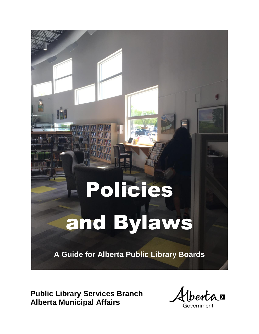# Policies and Bylaws

**A Guide for Alberta Public Library Boards**

**Public Library Services Branch Alberta Municipal Affairs**

*lbertan* 

Government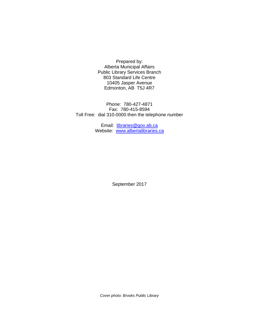Prepared by: Alberta Municipal Affairs Public Library Services Branch 803 Standard Life Centre 10405 Jasper Avenue Edmonton, AB T5J 4R7

Phone: 780-427-4871 Fax: 780-415-8594 Toll Free: dial 310-0000 then the telephone number

> Email: [libraries@gov.ab.ca](mailto:libraries@gov.ab.ca) Website: [www.albertalibraries.ca](http://www.albertalibraries.ca/)

> > September 2017

*Cover photo: Brooks Public Library*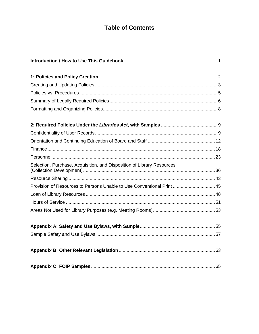## **Table of Contents**

| Selection, Purchase, Acquisition, and Disposition of Library Resources |  |
|------------------------------------------------------------------------|--|
|                                                                        |  |
| Provision of Resources to Persons Unable to Use Conventional Print  45 |  |
|                                                                        |  |
|                                                                        |  |
|                                                                        |  |
|                                                                        |  |
|                                                                        |  |
|                                                                        |  |
|                                                                        |  |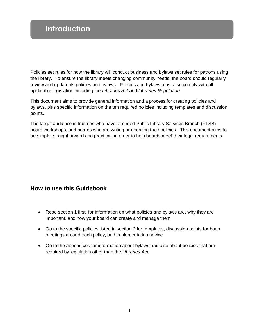## **Introduction**

Policies set rules for how the library will conduct business and bylaws set rules for patrons using the library. To ensure the library meets changing community needs, the board should regularly review and update its policies and bylaws. Policies and bylaws must also comply with all applicable legislation including the *Libraries Act* and *Libraries Regulation*.

This document aims to provide general information and a process for creating policies and bylaws, plus specific information on the ten required policies including templates and discussion points.

The target audience is trustees who have attended Public Library Services Branch (PLSB) board workshops, and boards who are writing or updating their policies. This document aims to be simple, straightforward and practical, in order to help boards meet their legal requirements.

## **How to use this Guidebook**

- Read section 1 first, for information on what policies and bylaws are, why they are important, and how your board can create and manage them.
- Go to the specific policies listed in section 2 for templates, discussion points for board meetings around each policy, and implementation advice.
- Go to the appendices for information about bylaws and also about policies that are required by legislation other than the *Libraries Act.*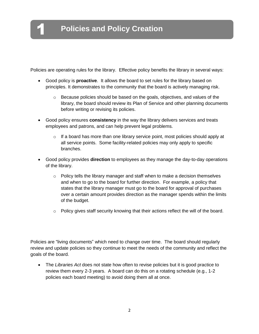1

Policies are operating rules for the library. Effective policy benefits the library in several ways:

- Good policy is **proactive**. It allows the board to set rules for the library based on principles. It demonstrates to the community that the board is actively managing risk.
	- o Because policies should be based on the goals, objectives, and values of the library, the board should review its Plan of Service and other planning documents before writing or revising its policies.
- Good policy ensures **consistency** in the way the library delivers services and treats employees and patrons, and can help prevent legal problems.
	- $\circ$  If a board has more than one library service point, most policies should apply at all service points. Some facility-related policies may only apply to specific branches.
- Good policy provides **direction** to employees as they manage the day-to-day operations of the library.
	- o Policy tells the library manager and staff when to make a decision themselves and when to go to the board for further direction. For example, a policy that states that the library manager must go to the board for approval of purchases over a certain amount provides direction as the manager spends within the limits of the budget.
	- o Policy gives staff security knowing that their actions reflect the will of the board.

Policies are "living documents" which need to change over time. The board should regularly review and update policies so they continue to meet the needs of the community and reflect the goals of the board.

 The *Libraries Act* does not state how often to revise policies but it is good practice to review them every 2-3 years. A board can do this on a rotating schedule (e.g., 1-2 policies each board meeting) to avoid doing them all at once.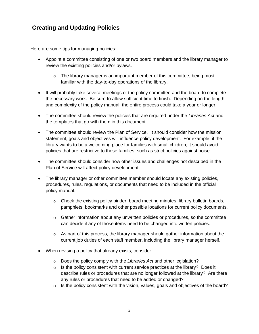## **Creating and Updating Policies**

Here are some tips for managing policies:

- Appoint a committee consisting of one or two board members and the library manager to review the existing policies and/or bylaws.
	- $\circ$  The library manager is an important member of this committee, being most familiar with the day-to-day operations of the library.
- It will probably take several meetings of the policy committee and the board to complete the necessary work. Be sure to allow sufficient time to finish. Depending on the length and complexity of the policy manual, the entire process could take a year or longer.
- The committee should review the policies that are required under the *Libraries Act* and the templates that go with them in this document.
- The committee should review the Plan of Service. It should consider how the mission statement, goals and objectives will influence policy development. For example, if the library wants to be a welcoming place for families with small children, it should avoid policies that are restrictive to those families, such as strict policies against noise.
- The committee should consider how other issues and challenges not described in the Plan of Service will affect policy development.
- The library manager or other committee member should locate any existing policies, procedures, rules, regulations, or documents that need to be included in the official policy manual.
	- $\circ$  Check the existing policy binder, board meeting minutes, library bulletin boards, pamphlets, bookmarks and other possible locations for current policy documents.
	- $\circ$  Gather information about any unwritten policies or procedures, so the committee can decide if any of those items need to be changed into written policies.
	- $\circ$  As part of this process, the library manager should gather information about the current job duties of each staff member, including the library manager herself.
- When revising a policy that already exists, consider
	- o Does the policy comply with the *Libraries Act* and other legislation?
	- $\circ$  Is the policy consistent with current service practices at the library? Does it describe rules or procedures that are no longer followed at the library? Are there any rules or procedures that need to be added or changed?
	- $\circ$  Is the policy consistent with the vision, values, goals and objectives of the board?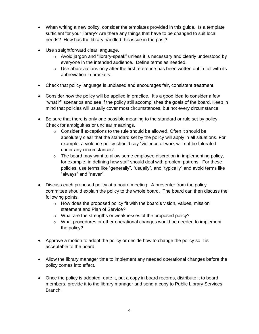- When writing a new policy, consider the templates provided in this guide. Is a template sufficient for your library? Are there any things that have to be changed to suit local needs? How has the library handled this issue in the past?
- Use straightforward clear language.
	- $\circ$  Avoid jargon and "library-speak" unless it is necessary and clearly understood by everyone in the intended audience. Define terms as needed.
	- $\circ$  Use abbreviations only after the first reference has been written out in full with its abbreviation in brackets.
- Check that policy language is unbiased and encourages fair, consistent treatment.
- Consider how the policy will be applied in practice. It's a good idea to consider a few "what if" scenarios and see if the policy still accomplishes the goals of the board. Keep in mind that policies will usually cover most circumstances, but not every circumstance.
- Be sure that there is only one possible meaning to the standard or rule set by policy. Check for ambiguities or unclear meanings.
	- o Consider if exceptions to the rule should be allowed. Often it should be absolutely clear that the standard set by the policy will apply in all situations. For example, a violence policy should say "violence at work will not be tolerated under any circumstances".
	- $\circ$  The board may want to allow some employee discretion in implementing policy, for example, in defining how staff should deal with problem patrons. For these policies, use terms like "generally", "usually", and "typically" and avoid terms like "always" and "never".
- Discuss each proposed policy at a board meeting. A presenter from the policy committee should explain the policy to the whole board. The board can then discuss the following points:
	- o How does the proposed policy fit with the board's vision, values, mission statement and Plan of Service?
	- o What are the strengths or weaknesses of the proposed policy?
	- $\circ$  What procedures or other operational changes would be needed to implement the policy?
- Approve a motion to adopt the policy or decide how to change the policy so it is acceptable to the board.
- Allow the library manager time to implement any needed operational changes before the policy comes into effect.
- Once the policy is adopted, date it, put a copy in board records, distribute it to board members, provide it to the library manager and send a copy to Public Library Services Branch.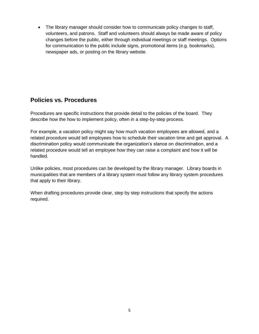• The library manager should consider how to communicate policy changes to staff, volunteers, and patrons. Staff and volunteers should always be made aware of policy changes before the public, either through individual meetings or staff meetings. Options for communication to the public include signs, promotional items (e.g. bookmarks), newspaper ads, or posting on the library website.

## **Policies vs. Procedures**

Procedures are specific instructions that provide detail to the policies of the board. They describe how the how to implement policy, often in a step-by-step process.

For example, a vacation policy might say how much vacation employees are allowed, and a related procedure would tell employees how to schedule their vacation time and get approval. A discrimination policy would communicate the organization's stance on discrimination, and a related procedure would tell an employee how they can raise a complaint and how it will be handled.

Unlike policies, most procedures can be developed by the library manager. Library boards in municipalities that are members of a library system must follow any library system procedures that apply to their library.

When drafting procedures provide clear, step by step instructions that specify the actions required.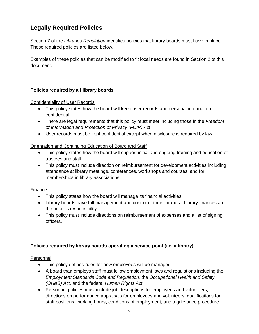## **Legally Required Policies**

Section 7 of the *Libraries Regulation* identifies policies that library boards must have in place. These required policies are listed below.

Examples of these policies that can be modified to fit local needs are found in Section 2 of this document.

#### **Policies required by all library boards**

Confidentiality of User Records

- This policy states how the board will keep user records and personal information confidential.
- There are legal requirements that this policy must meet including those in the *Freedom of Information and Protection of Privacy (FOIP) Act*.
- User records must be kept confidential except when disclosure is required by law.

#### Orientation and Continuing Education of Board and Staff

- This policy states how the board will support initial and ongoing training and education of trustees and staff.
- This policy must include direction on reimbursement for development activities including attendance at library meetings, conferences, workshops and courses; and for memberships in library associations.

#### Finance

- This policy states how the board will manage its financial activities.
- Library boards have full management and control of their libraries. Library finances are the board's responsibility.
- This policy must include directions on reimbursement of expenses and a list of signing officers.

#### **Policies required by library boards operating a service point (i.e. a library)**

#### Personnel

- This policy defines rules for how employees will be managed.
- A board than employs staff must follow employment laws and regulations including the *Employment Standards Code and Regulation*, the *Occupational Health and Safety (OH&S) Act*, and the federal *Human Rights Act*.
- Personnel policies must include job descriptions for employees and volunteers, directions on performance appraisals for employees and volunteers, qualifications for staff positions, working hours, conditions of employment, and a grievance procedure.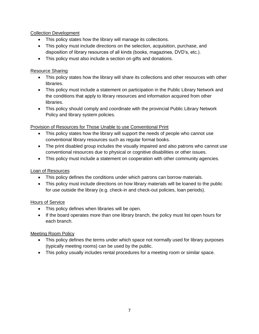#### Collection Development

- This policy states how the library will manage its collections.
- This policy must include directions on the selection, acquisition, purchase, and disposition of library resources of all kinds (books, magazines, DVD's, etc.).
- This policy must also include a section on gifts and donations.

#### Resource Sharing

- This policy states how the library will share its collections and other resources with other libraries.
- This policy must include a statement on participation in the Public Library Network and the conditions that apply to library resources and information acquired from other libraries.
- This policy should comply and coordinate with the provincial Public Library Network Policy and library system policies.

#### Provision of Resources for Those Unable to use Conventional Print

- This policy states how the library will support the needs of people who cannot use conventional library resources such as regular format books.
- The print disabled group includes the visually impaired and also patrons who cannot use conventional resources due to physical or cognitive disabilities or other issues.
- This policy must include a statement on cooperation with other community agencies.

#### Loan of Resources

- This policy defines the conditions under which patrons can borrow materials.
- This policy must include directions on how library materials will be loaned to the public for use outside the library (e.g. check-in and check-out policies, loan periods).

#### Hours of Service

- This policy defines when libraries will be open.
- If the board operates more than one library branch, the policy must list open hours for each branch.

#### Meeting Room Policy

- This policy defines the terms under which space not normally used for library purposes (typically meeting rooms) can be used by the public.
- This policy usually includes rental procedures for a meeting room or similar space.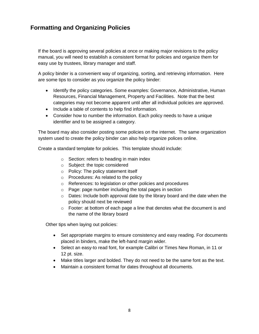## **Formatting and Organizing Policies**

If the board is approving several policies at once or making major revisions to the policy manual, you will need to establish a consistent format for policies and organize them for easy use by trustees, library manager and staff.

A policy binder is a convenient way of organizing, sorting, and retrieving information. Here are some tips to consider as you organize the policy binder:

- Identify the policy categories. Some examples: Governance, Administrative, Human Resources, Financial Management, Property and Facilities. Note that the best categories may not become apparent until after all individual policies are approved.
- Include a table of contents to help find information.
- Consider how to number the information. Each policy needs to have a unique identifier and to be assigned a category.

The board may also consider posting some policies on the internet. The same organization system used to create the policy binder can also help organize polices online.

Create a standard template for policies. This template should include:

- o Section: refers to heading in main index
- o Subject: the topic considered
- o Policy: The policy statement itself
- o Procedures: As related to the policy
- o References: to legislation or other policies and procedures
- o Page: page number including the total pages in section
- $\circ$  Dates: Include both approval date by the library board and the date when the policy should next be reviewed
- $\circ$  Footer: at bottom of each page a line that denotes what the document is and the name of the library board

Other tips when laying out policies:

- Set appropriate margins to ensure consistency and easy reading. For documents placed in binders, make the left-hand margin wider.
- Select an easy-to read font, for example Calibri or Times New Roman, in 11 or 12 pt. size.
- Make titles larger and bolded. They do not need to be the same font as the text.
- Maintain a consistent format for dates throughout all documents.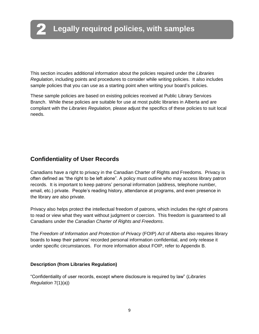This section incudes additional information about the policies required under the *Libraries Regulation*, including points and procedures to consider while writing policies. It also includes sample policies that you can use as a starting point when writing your board's policies.

These sample policies are based on existing policies received at Public Library Services Branch. While these policies are suitable for use at most public libraries in Alberta and are compliant with the *Libraries Regulation,* please adjust the specifics of these policies to suit local needs.

## **Confidentiality of User Records**

Canadians have a right to privacy in the Canadian Charter of Rights and Freedoms. Privacy is often defined as "the right to be left alone". A policy must outline who may access library patron records. It is important to keep patrons' personal information (address, telephone number, email, etc.) private. People's reading history, attendance at programs, and even presence in the library are also private.

Privacy also helps protect the intellectual freedom of patrons, which includes the right of patrons to read or view what they want without judgment or coercion. This freedom is guaranteed to all Canadians under the *Canadian Charter of Rights and Freedoms*.

The *Freedom of Information and Protection of Privacy* (FOIP) *Act* of Alberta also requires library boards to keep their patrons' recorded personal information confidential, and only release it under specific circumstances. For more information about FOIP, refer to Appendix B.

#### **Description (from Libraries Regulation)**

"Confidentiality of user records, except where disclosure is required by law" (*Libraries Regulation* 7(1)(a))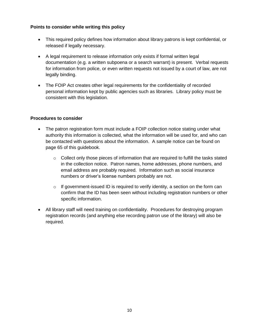#### **Points to consider while writing this policy**

- This required policy defines how information about library patrons is kept confidential, or released if legally necessary.
- A legal requirement to release information only exists if formal written legal documentation (e.g. a written subpoena or a search warrant) is present. Verbal requests for information from police, or even written requests not issued by a court of law, are not legally binding.
- The FOIP Act creates other legal requirements for the confidentiality of recorded personal information kept by public agencies such as libraries. Library policy must be consistent with this legislation.

#### **Procedures to consider**

- The patron registration form must include a FOIP collection notice stating under what authority this information is collected, what the information will be used for, and who can be contacted with questions about the information. A sample notice can be found on page 65 of this guidebook.
	- o Collect only those pieces of information that are required to fulfill the tasks stated in the collection notice. Patron names, home addresses, phone numbers, and email address are probably required. Information such as social insurance numbers or driver's license numbers probably are not.
	- $\circ$  If government-issued ID is required to verify identity, a section on the form can confirm that the ID has been seen without including registration numbers or other specific information.
- All library staff will need training on confidentiality. Procedures for destroying program registration records (and anything else recording patron use of the library) will also be required.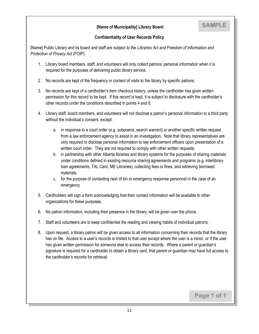#### **[Name of Municipality] Library Board**

#### **Confidentiality of User Records Policy**

[Name] Public Library and its board and staff are subject to the *Libraries Act and Freedom of Information and Protection of Privacy Act* (FOIP).

- 1. Library board members, staff, and volunteers will only collect patrons' personal information when it is required for the purposes of delivering public library service.
- 2. No records are kept of the frequency or content of visits to the library by specific patrons.
- 3. No records are kept of a cardholder's item checkout history, unless the cardholder has given written permission for this record to be kept. If this record is kept, it is subject to disclosure with the cardholder's other records under the conditions described in points 4 and 8.
- 4. Library staff, board members, and volunteers will not disclose a patron's personal information to a third party without the individual's consent, except:
	- a. in response to a court order (e.g. subpoena, search warrant) or another specific written request from a law enforcement agency to assist in an investigation. Note that library representatives are only required to disclose personal information to law enforcement officers upon presentation of a written court order. They are not required to comply with other written requests.
	- b. in partnership with other Alberta libraries and library systems for the purposes of sharing materials under conditions defined in existing resource sharing agreements and programs (e.g. interlibrary loan agreements, TAL Card, ME Libraries), collecting fees or fines, and retrieving borrowed materials.
	- c. for the purpose of contacting next of kin or emergency response personnel in the case of an emergency
- 5. Cardholders will sign a form acknowledging that their contact information will be available to other organizations for these purposes.
- 6. No patron information, including their presence in the library, will be given over the phone.
- 7. Staff and volunteers are to keep confidential the reading and viewing habits of individual patrons.
- 8. Upon request, a library patron will be given access to all information concerning their records that the library has on file. Access to a user's records is limited to that user except where the user is a minor, or if the user has given written permission for someone else to access their records. Where a parent or guardian's signature is required for a cardholder to obtain a library card, that parent or guardian may have full access to the cardholder's records for retrieval.

**Page 1 of 1**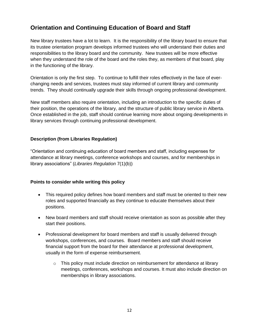## **Orientation and Continuing Education of Board and Staff**

New library trustees have a lot to learn. It is the responsibility of the library board to ensure that its trustee orientation program develops informed trustees who will understand their duties and responsibilities to the library board and the community. New trustees will be more effective when they understand the role of the board and the roles they, as members of that board, play in the functioning of the library.

Orientation is only the first step. To continue to fulfill their roles effectively in the face of everchanging needs and services, trustees must stay informed of current library and community trends. They should continually upgrade their skills through ongoing professional development.

New staff members also require orientation, including an introduction to the specific duties of their position, the operations of the library, and the structure of public library service in Alberta. Once established in the job, staff should continue learning more about ongoing developments in library services through continuing professional development.

#### **Description (from Libraries Regulation)**

"Orientation and continuing education of board members and staff, including expenses for attendance at library meetings, conference workshops and courses, and for memberships in library associations" (*Libraries Regulation* 7(1)(b))

#### **Points to consider while writing this policy**

- This required policy defines how board members and staff must be oriented to their new roles and supported financially as they continue to educate themselves about their positions.
- New board members and staff should receive orientation as soon as possible after they start their positions.
- Professional development for board members and staff is usually delivered through workshops, conferences, and courses. Board members and staff should receive financial support from the board for their attendance at professional development, usually in the form of expense reimbursement.
	- $\circ$  This policy must include direction on reimbursement for attendance at library meetings, conferences, workshops and courses. It must also include direction on memberships in library associations.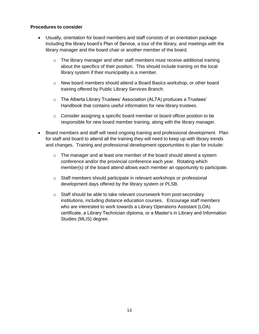#### **Procedures to consider**

- Usually, orientation for board members and staff consists of an orientation package including the library board's Plan of Service, a tour of the library, and meetings with the library manager and the board chair or another member of the board.
	- $\circ$  The library manager and other staff members must receive additional training about the specifics of their position. This should include training on the local library system if their municipality is a member.
	- $\circ$  New board members should attend a Board Basics workshop, or other board training offered by Public Library Services Branch.
	- o The Alberta Library Trustees' Association (ALTA) produces a Trustees' Handbook that contains useful information for new library trustees.
	- o Consider assigning a specific board member or board officer position to be responsible for new board member training, along with the library manager.
- Board members and staff will need ongoing training and professional development. Plan for staff and board to attend all the training they will need to keep up with library trends and changes. Training and professional development opportunities to plan for include:
	- o The manager and at least one member of the board should attend a system conference and/or the provincial conference each year. Rotating which member(s) of the board attend allows each member an opportunity to participate.
	- $\circ$  Staff members should participate in relevant workshops or professional development days offered by the library system or PLSB.
	- o Staff should be able to take relevant coursework from post-secondary institutions, including distance education courses. Encourage staff members who are interested to work towards a Library Operations Assistant (LOA) certificate, a Library Technician diploma, or a Master's in Library and Information Studies (MLIS) degree.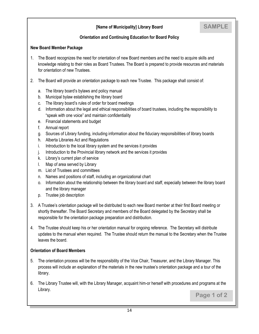#### **[Name of Municipality] Library Board**

#### **Orientation and Continuing Education for Board Policy**

#### **New Board Member Package**

- 1. The Board recognizes the need for orientation of new Board members and the need to acquire skills and knowledge relating to their roles as Board Trustees. The Board is prepared to provide resources and materials for orientation of new Trustees.
- 2. The Board will provide an orientation package to each new Trustee. This package shall consist of:
	- a. The library board's bylaws and policy manual
	- b. Municipal bylaw establishing the library board
	- c. The library board's rules of order for board meetings
	- d. Information about the legal and ethical responsibilities of board trustees, including the responsibility to "speak with one voice" and maintain confidentiality
	- e. Financial statements and budget
	- f. Annual report
	- g. Sources of Library funding, including information about the fiduciary responsibilities of library boards
	- h. Alberta Libraries Act and Regulations
	- i. Introduction to the local library system and the services it provides
	- j. Introduction to the Provincial library network and the services it provides
	- k. Library's current plan of service
	- l. Map of area served by Library
	- m. List of Trustees and committees
	- n. Names and positions of staff, including an organizational chart
	- o. Information about the relationship between the library board and staff, especially between the library board and the library manager
	- p. Trustee job description
- 3. A Trustee's orientation package will be distributed to each new Board member at their first Board meeting or shortly thereafter. The Board Secretary and members of the Board delegated by the Secretary shall be responsible for the orientation package preparation and distribution.
- 4. The Trustee should keep his or her orientation manual for ongoing reference. The Secretary will distribute updates to the manual when required. The Trustee should return the manual to the Secretary when the Trustee leaves the board.

#### **Orientation of Board Members**

- 5. The orientation process will be the responsibility of the Vice Chair, Treasurer, and the Library Manager. This process will include an explanation of the materials in the new trustee's orientation package and a tour of the library.
- 6. The Library Trustee will, with the Library Manager, acquaint him-or herself with procedures and programs at the Library. **Page 1 of 2**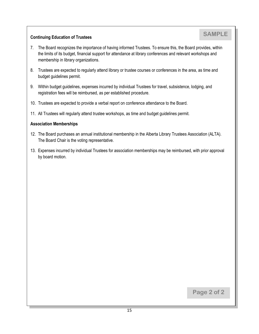#### **Continuing Education of Trustees**

- 7. The Board recognizes the importance of having informed Trustees. To ensure this, the Board provides, within the limits of its budget, financial support for attendance at library conferences and relevant workshops and membership in library organizations.
- 8. Trustees are expected to regularly attend library or trustee courses or conferences in the area, as time and budget guidelines permit.
- 9. Within budget guidelines, expenses incurred by individual Trustees for travel, subsistence, lodging, and registration fees will be reimbursed, as per established procedure.
- 10. Trustees are expected to provide a verbal report on conference attendance to the Board.
- 11. All Trustees will regularly attend trustee workshops, as time and budget guidelines permit.

#### **Association Memberships**

- 12. The Board purchases an annual institutional membership in the Alberta Library Trustees Association (ALTA). The Board Chair is the voting representative.
- 13. Expenses incurred by individual Trustees for association memberships may be reimbursed, with prior approval by board motion.

**Page 2 of 2**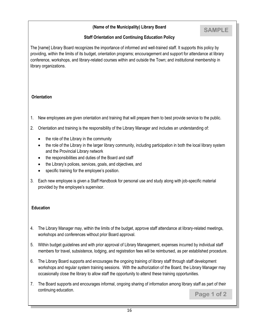#### **(Name of the Municipality) Library Board**

## **SAMPLE**

#### **Staff Orientation and Continuing Education Policy**

The [name] Library Board recognizes the importance of informed and well-trained staff. It supports this policy by providing, within the limits of its budget, orientation programs; encouragement and support for attendance at library conference, workshops, and library-related courses within and outside the Town; and institutional membership in library organizations.

#### **Orientation**

- 1. New employees are given orientation and training that will prepare them to best provide service to the public.
- 2. Orientation and training is the responsibility of the Library Manager and includes an understanding of:
	- the role of the Library in the community
	- the role of the Library in the larger library community, including participation in both the local library system and the Provincial Library network
	- the responsibilities and duties of the Board and staff
	- the Library's polices, services, goals, and objectives, and
	- specific training for the employee's position.
- 3. Each new employee is given a Staff Handbook for personal use and study along with job-specific material provided by the employee's supervisor.

#### **Education**

- 4. The Library Manager may, within the limits of the budget, approve staff attendance at library-related meetings, workshops and conferences without prior Board approval.
- 5. Within budget guidelines and with prior approval of Library Management, expenses incurred by individual staff members for travel, subsistence, lodging, and registration fees will be reimbursed, as per established procedure.
- 6. The Library Board supports and encourages the ongoing training of library staff through staff development workshops and regular system training sessions. With the authorization of the Board, the Library Manager may occasionally close the library to allow staff the opportunity to attend these training opportunities.
- 7. The Board supports and encourages informal, ongoing sharing of information among library staff as part of their continuing education. **Page 1 of 2**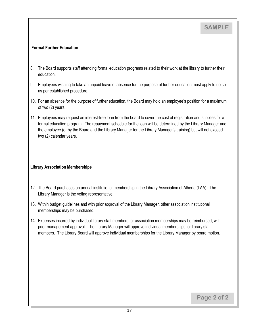#### **Formal Further Education**

- 8. The Board supports staff attending formal education programs related to their work at the library to further their education.
- 9. Employees wishing to take an unpaid leave of absence for the purpose of further education must apply to do so as per established procedure.
- 10. For an absence for the purpose of further education, the Board may hold an employee's position for a maximum of two (2) years.
- 11. Employees may request an interest-free loan from the board to cover the cost of registration and supplies for a formal education program. The repayment schedule for the loan will be determined by the Library Manager and the employee (or by the Board and the Library Manager for the Library Manager's training) but will not exceed two (2) calendar years.

#### **Library Association Memberships**

- 12. The Board purchases an annual institutional membership in the Library Association of Alberta (LAA). The Library Manager is the voting representative.
- 13. Within budget guidelines and with prior approval of the Library Manager, other association institutional memberships may be purchased.
- 14. Expenses incurred by individual library staff members for association memberships may be reimbursed, with prior management approval. The Library Manager will approve individual memberships for library staff members. The Library Board will approve individual memberships for the Library Manager by board motion.

**Page 2 of 2**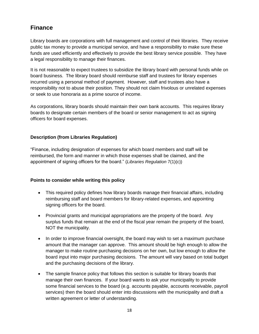## **Finance**

Library boards are corporations with full management and control of their libraries. They receive public tax money to provide a municipal service, and have a responsibility to make sure these funds are used efficiently and effectively to provide the best library service possible. They have a legal responsibility to manage their finances.

It is not reasonable to expect trustees to subsidize the library board with personal funds while on board business. The library board should reimburse staff and trustees for library expenses incurred using a personal method of payment. However, staff and trustees also have a responsibility not to abuse their position. They should not claim frivolous or unrelated expenses or seek to use honoraria as a prime source of income.

As corporations, library boards should maintain their own bank accounts. This requires library boards to designate certain members of the board or senior management to act as signing officers for board expenses.

#### **Description (from Libraries Regulation)**

"Finance, including designation of expenses for which board members and staff will be reimbursed, the form and manner in which those expenses shall be claimed, and the appointment of signing officers for the board." (*Libraries Regulation* 7(1)(c))

#### **Points to consider while writing this policy**

- This required policy defines how library boards manage their financial affairs, including reimbursing staff and board members for library-related expenses, and appointing signing officers for the board.
- Provincial grants and municipal appropriations are the property of the board. Any surplus funds that remain at the end of the fiscal year remain the property of the board, NOT the municipality.
- In order to improve financial oversight, the board may wish to set a maximum purchase amount that the manager can approve. This amount should be high enough to allow the manager to make routine purchasing decisions on her own, but low enough to allow the board input into major purchasing decisions. The amount will vary based on total budget and the purchasing decisions of the library.
- The sample finance policy that follows this section is suitable for library boards that manage their own finances. If your board wants to ask your municipality to provide some financial services to the board (e.g. accounts payable, accounts receivable, payroll services) then the board should enter into discussions with the municipality and draft a written agreement or letter of understanding.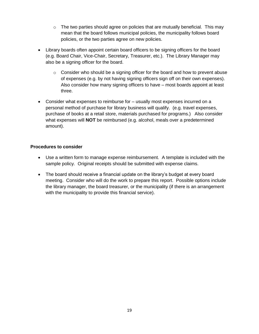- $\circ$  The two parties should agree on policies that are mutually beneficial. This may mean that the board follows municipal policies, the municipality follows board policies, or the two parties agree on new policies.
- Library boards often appoint certain board officers to be signing officers for the board (e.g. Board Chair, Vice-Chair, Secretary, Treasurer, etc.). The Library Manager may also be a signing officer for the board.
	- $\circ$  Consider who should be a signing officer for the board and how to prevent abuse of expenses (e.g. by not having signing officers sign off on their own expenses). Also consider how many signing officers to have – most boards appoint at least three.
- Consider what expenses to reimburse for usually most expenses incurred on a personal method of purchase for library business will qualify. (e.g. travel expenses, purchase of books at a retail store, materials purchased for programs.) Also consider what expenses will **NOT** be reimbursed (e.g. alcohol, meals over a predetermined amount).

#### **Procedures to consider**

- Use a written form to manage expense reimbursement. A template is included with the sample policy. Original receipts should be submitted with expense claims.
- The board should receive a financial update on the library's budget at every board meeting. Consider who will do the work to prepare this report. Possible options include the library manager, the board treasurer, or the municipality (if there is an arrangement with the municipality to provide this financial service).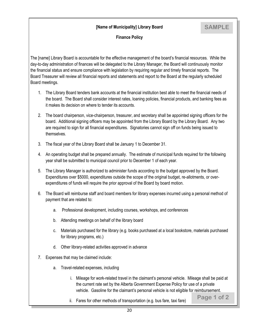#### **[Name of Municipality] Library Board**

**Page 1 of 2**

#### **Finance Policy**

The [name] Library Board is accountable for the effective management of the board's financial resources. While the day-to-day administration of finances will be delegated to the Library Manager, the Board will continuously monitor the financial status and ensure compliance with legislation by requiring regular and timely financial reports. The Board Treasurer will review all financial reports and statements and report to the Board at the regularly scheduled Board meetings.

- 1. The Library Board tenders bank accounts at the financial institution best able to meet the financial needs of the board. The Board shall consider interest rates, loaning policies, financial products, and banking fees as it makes its decision on where to tender its accounts.
- 2. The board chairperson, vice-chairperson, treasurer, and secretary shall be appointed signing officers for the board. Additional signing officers may be appointed from the Library Board by the Library Board. Any two are required to sign for all financial expenditures. Signatories cannot sign off on funds being issued to themselves.
- 3. The fiscal year of the Library Board shall be January 1 to December 31.
- 4. An operating budget shall be prepared annually. The estimate of municipal funds required for the following year shall be submitted to municipal council prior to December 1 of each year.
- 5. The Library Manager is authorized to administer funds according to the budget approved by the Board. Expenditures over \$5000, expenditures outside the scope of the original budget, re-allotments, or overexpenditures of funds will require the prior approval of the Board by board motion.
- 6. The Board will reimburse staff and board members for library expenses incurred using a personal method of payment that are related to:
	- a. Professional development, including courses, workshops, and conferences
	- b. Attending meetings on behalf of the library board
	- c. Materials purchased for the library (e.g. books purchased at a local bookstore, materials purchased for library programs, etc.)
	- d. Other library-related activities approved in advance
- 7. Expenses that may be claimed include:
	- a. Travel-related expenses, including
		- i. Mileage for work-related travel in the claimant's personal vehicle. Mileage shall be paid at the current rate set by the Alberta Government Expense Policy for use of a private vehicle. Gasoline for the claimant's personal vehicle is not eligible for reimbursement.
		- ii. Fares for other methods of transportation (e.g. bus fare, taxi fare)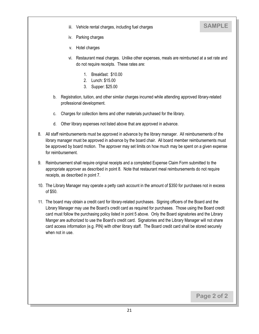iii. Vehicle rental charges, including fuel charges

## **SAMPLE**

- iv. Parking charges
- v. Hotel charges
- vi. Restaurant meal charges. Unlike other expenses, meals are reimbursed at a set rate and do not require receipts. These rates are:
	- 1. Breakfast: \$10.00
	- 2. Lunch: \$15.00
	- 3. Supper: \$25.00
- b. Registration, tuition, and other similar charges incurred while attending approved library-related professional development.
- c. Charges for collection items and other materials purchased for the library.
- d. Other library expenses not listed above that are approved in advance.
- 8. All staff reimbursements must be approved in advance by the library manager. All reimbursements of the library manager must be approved in advance by the board chair. All board member reimbursements must be approved by board motion. The approver may set limits on how much may be spent on a given expense for reimbursement.
- 9. Reimbursement shall require original receipts and a completed Expense Claim Form submitted to the appropriate approver as described in point 8. Note that restaurant meal reimbursements do not require receipts, as described in point 7.
- 10. The Library Manager may operate a petty cash account in the amount of \$350 for purchases not in excess of \$50.
- 11. The board may obtain a credit card for library-related purchases. Signing officers of the Board and the Library Manager may use the Board's credit card as required for purchases. Those using the Board credit card must follow the purchasing policy listed in point 5 above. Only the Board signatories and the Library Manger are authorized to use the Board's credit card. Signatories and the Library Manager will not share card access information (e.g. PIN) with other library staff. The Board credit card shall be stored securely when not in use.

**Page 2 of 2**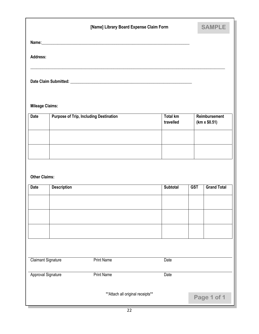|                           |                    | [Name] Library Board Expense Claim Form       |                              |            | <b>SAMPLE</b>                        |
|---------------------------|--------------------|-----------------------------------------------|------------------------------|------------|--------------------------------------|
|                           |                    |                                               |                              |            |                                      |
| Address:                  |                    |                                               |                              |            |                                      |
|                           |                    |                                               |                              |            |                                      |
| <b>Mileage Claims:</b>    |                    |                                               |                              |            |                                      |
| <b>Date</b>               |                    | <b>Purpose of Trip, Including Destination</b> | <b>Total km</b><br>travelled |            | Reimbursement<br>$(km \times $0.51)$ |
|                           |                    |                                               |                              |            |                                      |
|                           |                    |                                               |                              |            |                                      |
| <b>Other Claims:</b>      |                    |                                               |                              |            |                                      |
| <b>Date</b>               | <b>Description</b> |                                               | <b>Subtotal</b>              | <b>GST</b> | <b>Grand Total</b>                   |
|                           |                    |                                               |                              |            |                                      |
|                           |                    |                                               |                              |            |                                      |
|                           |                    |                                               |                              |            |                                      |
|                           |                    |                                               |                              |            |                                      |
| <b>Claimant Signature</b> |                    | <b>Print Name</b>                             | Date                         |            |                                      |
| Approval Signature        |                    | <b>Print Name</b>                             | Date                         |            |                                      |
|                           |                    | ** Attach all original receipts**             |                              |            | Page 1 of 1                          |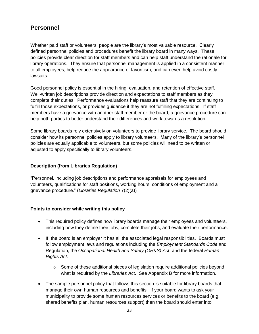## **Personnel**

Whether paid staff or volunteers, people are the library's most valuable resource. Clearly defined personnel policies and procedures benefit the library board in many ways. These policies provide clear direction for staff members and can help staff understand the rationale for library operations. They ensure that personnel management is applied in a consistent manner to all employees, help reduce the appearance of favoritism, and can even help avoid costly lawsuits.

Good personnel policy is essential in the hiring, evaluation, and retention of effective staff. Well-written job descriptions provide direction and expectations to staff members as they complete their duties. Performance evaluations help reassure staff that they are continuing to fulfill those expectations, or provides guidance if they are not fulfilling expectations. If staff members have a grievance with another staff member or the board, a grievance procedure can help both parties to better understand their differences and work towards a resolution.

Some library boards rely extensively on volunteers to provide library service. The board should consider how its personnel policies apply to library volunteers. Many of the library's personnel policies are equally applicable to volunteers, but some policies will need to be written or adjusted to apply specifically to library volunteers.

#### **Description (from Libraries Regulation)**

"Personnel, including job descriptions and performance appraisals for employees and volunteers, qualifications for staff positions, working hours, conditions of employment and a grievance procedure." (*Libraries Regulation* 7(2)(a))

#### **Points to consider while writing this policy**

- This required policy defines how library boards manage their employees and volunteers, including how they define their jobs, complete their jobs, and evaluate their performance.
- If the board is an employer it has all the associated legal responsibilities. Boards must follow employment laws and regulations including the *Employment Standards Code* and Regulation, the *Occupational Health and Safety (OH&S) Act*, and the federal *Human Rights Act*.
	- $\circ$  Some of these additional pieces of legislation require additional policies beyond what is required by the *Libraries Act*. See Appendix B for more information.
- The sample personnel policy that follows this section is suitable for library boards that manage their own human resources and benefits. If your board wants to ask your municipality to provide some human resources services or benefits to the board (e.g. shared benefits plan, human resources support) then the board should enter into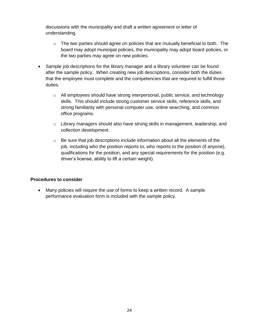discussions with the municipality and draft a written agreement or letter of understanding.

- $\circ$  The two parties should agree on policies that are mutually beneficial to both. The board may adopt municipal policies, the municipality may adopt board policies, or the two parties may agree on new policies.
- Sample job descriptions for the library manager and a library volunteer can be found after the sample policy. When creating new job descriptions, consider both the duties that the employee must complete and the competencies that are required to fulfill those duties.
	- o All employees should have strong interpersonal, public service, and technology skills. This should include strong customer service skills, reference skills, and strong familiarity with personal computer use, online searching, and common office programs.
	- $\circ$  Library managers should also have strong skills in management, leadership, and collection development.
	- $\circ$  Be sure that job descriptions include information about all the elements of the job, including who the position reports to, who reports to the position (if anyone), qualifications for the position, and any special requirements for the position (e.g. driver's license, ability to lift a certain weight).

#### **Procedures to consider**

 Many policies will require the use of forms to keep a written record. A sample performance evaluation form is included with the sample policy.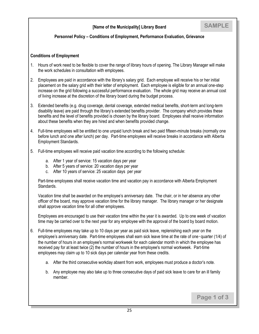#### **Personnel Policy – Conditions of Employment, Performance Evaluation, Grievance**

#### **Conditions of Employment**

- 1. Hours of work need to be flexible to cover the range of library hours of opening. The Library Manager will make the work schedules in consultation with employees.
- 2. Employees are paid in accordance with the library's salary grid. Each employee will receive his or her initial placement on the salary grid with their letter of employment. Each employee is eligible for an annual one-step increase on the grid following a successful performance evaluation. The whole grid may receive an annual cost of living increase at the discretion of the library board during the budget process.
- 3. Extended benefits (e.g. drug coverage, dental coverage, extended medical benefits, short-term and long-term disability leave) are paid through the library's extended benefits provider. The company which provides these benefits and the level of benefits provided is chosen by the library board. Employees shall receive information about these benefits when they are hired and when benefits provided change.
- 4. Full-time employees will be entitled to one unpaid lunch break and two paid fifteen-minute breaks (normally one before lunch and one after lunch) per day. Part-time employees will receive breaks in accordance with Alberta Employment Standards.
- 5. Full-time employees will receive paid vacation time according to the following schedule:
	- a. After 1 year of service: 15 vacation days per year
	- b. After 5 years of service: 20 vacation days per year
	- c. After 10 years of service: 25 vacation days per year

Part-time employees shall receive vacation time and vacation pay in accordance with Alberta Employment Standards.

Vacation time shall be awarded on the employee's anniversary date. The chair, or in her absence any other officer of the board, may approve vacation time for the library manager. The library manager or her designate shall approve vacation time for all other employees.

Employees are encouraged to use their vacation time within the year it is awarded. Up to one week of vacation time may be carried over to the next year for any employee with the approval of the board by board motion.

- 6. Full-time employees may take up to 10 days per year as paid sick leave, replenishing each year on the employee's anniversary date. Part-time employees shall earn sick leave time at the rate of one-quarter (1/4) of the number of hours in an employee's normal workweek for each calendar month in which the employee has received pay for at least twice (2) the number of hours in the employee's normal workweek. Part-time employees may claim up to 10 sick days per calendar year from these credits.
	- a. After the third consecutive workday absent from work, employees must produce a doctor's note.
	- b. Any employee may also take up to three consecutive days of paid sick leave to care for an ill family member.

**Page 1 of 3**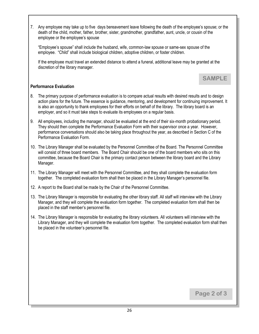7. Any employee may take up to five days bereavement leave following the death of the employee's spouse; or the death of the child, mother, father, brother, sister, grandmother, grandfather, aunt, uncle, or cousin of the employee or the employee's spouse

"Employee's spouse" shall include the husband, wife, common-law spouse or same-sex spouse of the employee. "Child" shall include biological children, adoptive children, or foster children.

If the employee must travel an extended distance to attend a funeral, additional leave may be granted at the discretion of the library manager.

#### **Performance Evaluation**

- 8. The primary purpose of performance evaluation is to compare actual results with desired results and to design action plans for the future. The essence is guidance, mentoring, and development for continuing improvement. It is also an opportunity to thank employees for their efforts on behalf of the library. The library board is an employer, and so it must take steps to evaluate its employees on a regular basis.
- 9. All employees, including the manager, should be evaluated at the end of their six-month probationary period. They should then complete the Performance Evaluation Form with their supervisor once a year. However, performance conversations should also be taking place throughout the year, as described in Section C of the Performance Evaluation Form.
- 10. The Library Manager shall be evaluated by the Personnel Committee of the Board. The Personnel Committee will consist of three board members. The Board Chair should be one of the board members who sits on this committee, because the Board Chair is the primary contact person between the library board and the Library Manager.
- 11. The Library Manager will meet with the Personnel Committee, and they shall complete the evaluation form together. The completed evaluation form shall then be placed in the Library Manager's personnel file.
- 12. A report to the Board shall be made by the Chair of the Personnel Committee.
- 13. The Library Manager is responsible for evaluating the other library staff. All staff will interview with the Library Manager, and they will complete the evaluation form together. The completed evaluation form shall then be placed in the staff member's personnel file.
- 14. The Library Manager is responsible for evaluating the library volunteers. All volunteers will interview with the Library Manager, and they will complete the evaluation form together. The completed evaluation form shall then be placed in the volunteer's personnel file.

**Page 2 of 3**

**SAMPLE**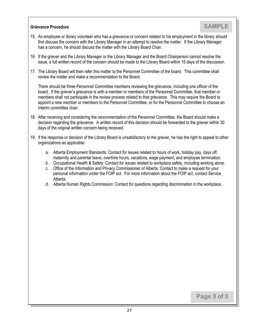#### **Grievance Procedure**

- 15. An employee or library volunteer who has a grievance or concern related to his employment in the library should first discuss the concern with the Library Manager in an attempt to resolve the matter. If the Library Manager has a concern, he should discuss the matter with the Library Board Chair.
- 16. If the griever and the Library Manager or the Library Manager and the Board Chairperson cannot resolve the issue, a full written record of the concern should be made to the Library Board within 15 days of the discussion.
- 17. The Library Board will then refer this matter to the Personnel Committee of the board. This committee shall review the matter and make a recommendation to the Board.

There should be three Personnel Committee members reviewing the grievance, including one officer of the board. If the griever's grievance is with a member or members of the Personnel Committee, that member or members shall not participate in the review process related to that grievance. This may require the Board to appoint a new member or members to the Personnel Committee, or for the Personnel Committee to choose an interim committee chair.

- 18. After receiving and considering the recommendation of the Personnel Committee, the Board should make a decision regarding the grievance. A written record of this decision should be forwarded to the griever within 30 days of the original written concern being received.
- 19. If the response or decision of the Library Board is unsatisfactory to the griever, he has the right to appeal to other organizations as applicable:
	- a. Alberta Employment Standards: Contact for issues related to hours of work, holiday pay, days off, maternity and parental leave, overtime hours, vacations, wage payment, and employee termination.
	- b. Occupational Health & Safety: Contact for issues related to workplace safety, including working alone.
	- c. Office of the Information and Privacy Commissioner of Alberta: Contact to make a request for your personal information under the FOIP act. For more information about the FOIP act, contact Service Alberta.
	- d. Alberta Human Rights Commission: Contact for questions regarding discrimination in the workplace.

**Page 3 of 3**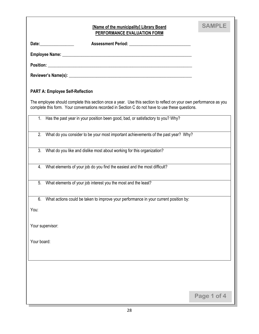| [Name of the municipality] Library Board<br>PERFORMANCE EVALUATION FORM                                                                                                                                               | <b>SAMPLE</b> |
|-----------------------------------------------------------------------------------------------------------------------------------------------------------------------------------------------------------------------|---------------|
| Date: _________________                                                                                                                                                                                               |               |
|                                                                                                                                                                                                                       |               |
|                                                                                                                                                                                                                       |               |
|                                                                                                                                                                                                                       |               |
| <b>PART A: Employee Self-Reflection</b>                                                                                                                                                                               |               |
| The employee should complete this section once a year. Use this section to reflect on your own performance as you<br>complete this form. Your conversations recorded in Section C do not have to use these questions. |               |
| 1. Has the past year in your position been good, bad, or satisfactory to you? Why?                                                                                                                                    |               |
| What do you consider to be your most important achievements of the past year? Why?<br>2.                                                                                                                              |               |
| 3.<br>What do you like and dislike most about working for this organization?                                                                                                                                          |               |
| What elements of your job do you find the easiest and the most difficult?<br>4.                                                                                                                                       |               |
| What elements of your job interest you the most and the least?<br>5.                                                                                                                                                  |               |
| 6.<br>What actions could be taken to improve your performance in your current position by:                                                                                                                            |               |
| You:                                                                                                                                                                                                                  |               |
| Your supervisor:                                                                                                                                                                                                      |               |
| Your board:                                                                                                                                                                                                           |               |
|                                                                                                                                                                                                                       |               |
|                                                                                                                                                                                                                       |               |
|                                                                                                                                                                                                                       |               |
|                                                                                                                                                                                                                       | Page 1 of 4   |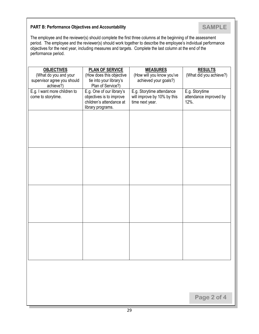#### **PART B: Performance Objectives and Accountability**

The employee and the reviewer(s) should complete the first three columns at the beginning of the assessment period. The employee and the reviewer(s) should work together to describe the employee's individual performance objectives for the next year, including measures and targets. Complete the last column at the end of the performance period.

| <b>OBJECTIVES</b><br>(What do you and your<br>supervisor agree you should<br>achieve?) | <b>PLAN OF SERVICE</b><br>(How does this objective<br>tie into your library's<br>Plan of Service?)     | <b>MEASURES</b><br>(How will you know you've<br>achieved your goals?)       | <b>RESULTS</b><br>(What did you achieve?)        |
|----------------------------------------------------------------------------------------|--------------------------------------------------------------------------------------------------------|-----------------------------------------------------------------------------|--------------------------------------------------|
| E.g. I want more children to<br>come to storytime.                                     | E.g. One of our library's<br>objectives is to improve<br>children's attendance at<br>library programs. | E.g. Storytime attendance<br>will improve by 10% by this<br>time next year. | E.g. Storytime<br>attendance improved by<br>12%. |
|                                                                                        |                                                                                                        |                                                                             |                                                  |
|                                                                                        |                                                                                                        |                                                                             |                                                  |
|                                                                                        |                                                                                                        |                                                                             |                                                  |
|                                                                                        |                                                                                                        |                                                                             |                                                  |
|                                                                                        |                                                                                                        |                                                                             |                                                  |
|                                                                                        |                                                                                                        |                                                                             |                                                  |
|                                                                                        |                                                                                                        |                                                                             |                                                  |
|                                                                                        |                                                                                                        |                                                                             | Page 2 of 4                                      |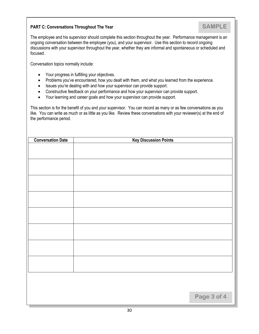#### **PART C: Conversations Throughout The Year**

The employee and his supervisor should complete this section throughout the year. Performance management is an ongoing conversation between the employee (you), and your supervisor. Use this section to record ongoing discussions with your supervisor throughout the year, whether they are informal and spontaneous or scheduled and focused.

Conversation topics normally include:

- Your progress in fulfilling your objectives.
- Problems you've encountered, how you dealt with them, and what you learned from the experience.
- Issues you're dealing with and how your supervisor can provide support.
- Constructive feedback on your performance and how your supervisor can provide support.
- Your learning and career goals and how your supervisor can provide support.

This section is for the benefit of you and your supervisor. You can record as many or as few conversations as you like. You can write as much or as little as you like. Review these conversations with your reviewer(s) at the end of the performance period.

| <b>Conversation Date</b> | <b>Key Discussion Points</b> |
|--------------------------|------------------------------|
|                          |                              |
|                          |                              |
|                          |                              |
|                          |                              |
|                          |                              |
|                          |                              |
|                          |                              |
|                          |                              |
|                          |                              |
|                          |                              |
|                          |                              |
|                          |                              |
|                          |                              |
|                          |                              |
|                          |                              |
|                          |                              |
|                          |                              |
|                          |                              |
|                          |                              |
|                          | Page 3 of 4                  |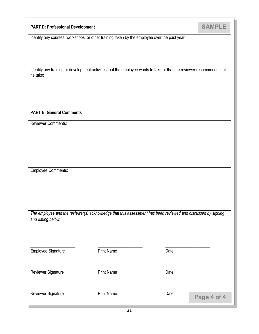#### **PART D: Professional Development**

**SAMPLE**

Identify any courses, workshops, or other training taken by the employee over the past year:

Identify any training or development activities that the employee wants to take or that the reviewer recommends that he take:

#### **PART E: General Comments**

Reviewer Comments:

Employee Comments:

| The employee and the reviewer(s) acknowledge that this assessment has been reviewed and discussed by signing |  |
|--------------------------------------------------------------------------------------------------------------|--|
| and dating below.                                                                                            |  |

Employee Signature

\_\_\_\_\_\_\_\_\_\_\_\_\_\_\_\_\_\_\_\_\_

\_\_\_\_\_\_\_\_\_\_\_\_\_\_\_\_\_\_\_\_\_

Print Name

 $\_$ 

 $\_$ 

Reviewer Signature

 $\_$ Print Name

Print Name

| Reviewer Signature |  |
|--------------------|--|

Date

 $\_$ 

 $\_$ 

Date

| Date | Page 4 of. |
|------|------------|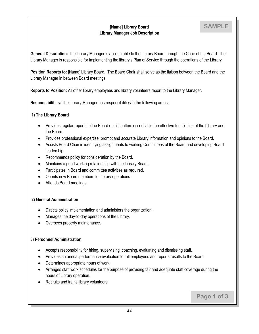#### **[Name] Library Board Library Manager Job Description**

**Page 1 of 3**

**General Description:** The Library Manager is accountable to the Library Board through the Chair of the Board. The Library Manager is responsible for implementing the library's Plan of Service through the operations of the Library.

**Position Reports to:** [Name] Library Board. The Board Chair shall serve as the liaison between the Board and the Library Manager in between Board meetings.

**Reports to Position:** All other library employees and library volunteers report to the Library Manager.

**Responsibilities:** The Library Manager has responsibilities in the following areas:

#### **1) The Library Board**

- Provides regular reports to the Board on all matters essential to the effective functioning of the Library and the Board.
- Provides professional expertise, prompt and accurate Library information and opinions to the Board.
- Assists Board Chair in identifying assignments to working Committees of the Board and developing Board leadership.
- Recommends policy for consideration by the Board.
- Maintains a good working relationship with the Library Board.
- Participates in Board and committee activities as required.
- Orients new Board members to Library operations.
- Attends Board meetings.

#### **2) General Administration**

- Directs policy implementation and administers the organization.
- Manages the day-to-day operations of the Library.
- Oversees property maintenance.

#### **3) Personnel Administration**

- Accepts responsibility for hiring, supervising, coaching, evaluating and dismissing staff.
- Provides an annual performance evaluation for all employees and reports results to the Board.
- Determines appropriate hours of work.
- Arranges staff work schedules for the purpose of providing fair and adequate staff coverage during the hours of Library operation.
- Recruits and trains library volunteers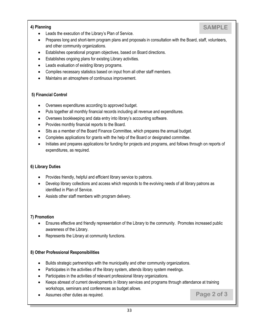#### **4) Planning**

- Leads the execution of the Library's Plan of Service.
- Prepares long and short-term program plans and proposals in consultation with the Board, staff, volunteers, and other community organizations.
- Establishes operational program objectives, based on Board directions.
- Establishes ongoing plans for existing Library activities.
- Leads evaluation of existing library programs.
- Compiles necessary statistics based on input from all other staff members.
- Maintains an atmosphere of continuous improvement.

#### **5) Financial Control**

- Oversees expenditures according to approved budget.
- Puts together all monthly financial records including all revenue and expenditures.
- Oversees bookkeeping and data entry into library's accounting software.
- Provides monthly financial reports to the Board.
- Sits as a member of the Board Finance Committee, which prepares the annual budget.
- Completes applications for grants with the help of the Board or designated committee.
- Initiates and prepares applications for funding for projects and programs, and follows through on reports of expenditures, as required.

#### **6) Library Duties**

- Provides friendly, helpful and efficient library service to patrons.
- Develop library collections and access which responds to the evolving needs of all library patrons as identified in Plan of Service.
- Assists other staff members with program delivery.

#### **7) Promotion**

- Ensures effective and friendly representation of the Library to the community. Promotes increased public awareness of the Library.
- Represents the Library at community functions.

#### **8) Other Professional Responsibilities**

- Builds strategic partnerships with the municipality and other community organizations.
- Participates in the activities of the library system, attends library system meetings.
- Participates in the activities of relevant professional library organizations.
- Keeps abreast of current developments in library services and programs through attendance at training workshops, seminars and conferences as budget allows.
- Assumes other duties as required.

#### **Page 2 of 3**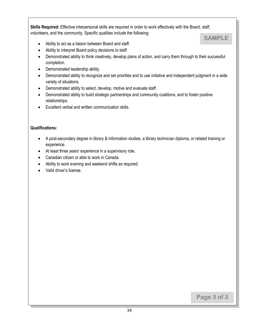**Skills Required:** Effective interpersonal skills are required in order to work effectively with the Board, staff, volunteers, and the community. Specific qualities include the following:



- Ability to act as a liaison between Board and staff.
- Ability to interpret Board policy decisions to staff.
- Demonstrated ability to think creatively, develop plans of action, and carry them through to their successful completion.
- Demonstrated leadership ability.
- Demonstrated ability to recognize and set priorities and to use initiative and independent judgment in a wide variety of situations.
- Demonstrated ability to select, develop, motive and evaluate staff.
- Demonstrated ability to build strategic partnerships and community coalitions, and to foster positive relationships.
- Excellent verbal and written communication skills.

#### **Qualifications:**

- A post-secondary degree in library & information studies, a library technician diploma, or related training or experience.
- At least three years' experience in a supervisory role.
- Canadian citizen or able to work in Canada.
- Ability to work evening and weekend shifts as required.
- Valid driver's license.

**Page 3 of 3**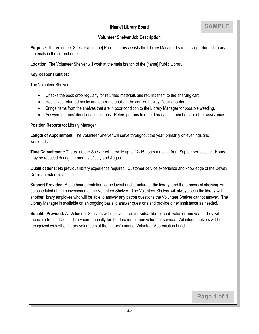#### **[Name] Library Board**

#### **Volunteer Shelver Job Description**

**Purpose:** The Volunteer Shelver at [name] Public Library assists the Library Manager by reshelving returned library materials in the correct order.

**Location:** The Volunteer Shelver will work at the main branch of the [name] Public Library.

#### **Key Responsibilities:**

The Volunteer Shelver:

- Checks the book drop regularly for returned materials and returns them to the shelving cart.
- Reshelves returned books and other materials in the correct Dewey Decimal order.
- Brings items from the shelves that are in poor condition to the Library Manager for possible weeding.
- Answers patrons' directional questions. Refers patrons to other library staff members for other assistance.

**Position Reports to:** Library Manager

**Length of Appointment:** The Volunteer Shelver will serve throughout the year, primarily on evenings and weekends.

**Time Commitment:** The Volunteer Shelver will provide up to 12-15 hours a month from September to June. Hours may be reduced during the months of July and August.

**Qualifications:** No previous library experience required. Customer service experience and knowledge of the Dewey Decimal system is an asset.

**Support Provided:** A one hour orientation to the layout and structure of the library, and the process of shelving, will be scheduled at the convenience of the Volunteer Shelver. The Volunteer Shelver will always be in the library with another library employee who will be able to answer any patron questions the Volunteer Shelver cannot answer. The Library Manager is available on an ongoing basis to answer questions and provide other assistance as needed.

**Benefits Provided:** All Volunteer Shelvers will receive a free individual library card, valid for one year. They will receive a free individual library card annually for the duration of their volunteer service. Volunteer shelvers will be recognized with other library volunteers at the Library's annual Volunteer Appreciation Lunch.

**Page 1 of 1**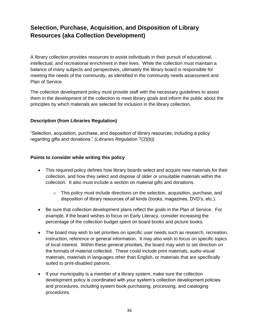## **Selection, Purchase, Acquisition, and Disposition of Library Resources (aka Collection Development)**

A library collection provides resources to assist individuals in their pursuit of educational, intellectual, and recreational enrichment in their lives. While the collection must maintain a balance of many subjects and perspectives, ultimately the library board is responsible for meeting the needs of the community, as identified in the community needs assessment and Plan of Service.

The collection development policy must provide staff with the necessary guidelines to assist them in the development of the collection to meet library goals and inform the public about the principles by which materials are selected for inclusion in the library collection.

#### **Description (from Libraries Regulation)**

"Selection, acquisition, purchase, and disposition of library resources, including a policy regarding gifts and donations." (*Libraries Regulation* 7(2)(b))

#### **Points to consider while writing this policy**

- This required policy defines how library boards select and acquire new materials for their collection, and how they select and dispose of older or unsuitable materials within the collection. It also must include a section on material gifts and donations.
	- $\circ$  This policy must include directions on the selection, acquisition, purchase, and disposition of library resources of all kinds (books, magazines, DVD's, etc.).
- Be sure that collection development plans reflect the goals in the Plan of Service. For example, if the board wishes to focus on Early Literacy, consider increasing the percentage of the collection budget spent on board books and picture books.
- The board may wish to set priorities on specific user needs such as research, recreation, instruction, reference or general information. It may also wish to focus on specific topics of local interest. Within these general priorities, the board may wish to set direction on the formats of material collected. These could include print materials, audio-visual materials, materials in languages other than English, or materials that are specifically suited to print-disabled patrons.
- If your municipality is a member of a library system, make sure the collection development policy is coordinated with your system's collection development policies and procedures, including system book purchasing, processing, and cataloging procedures.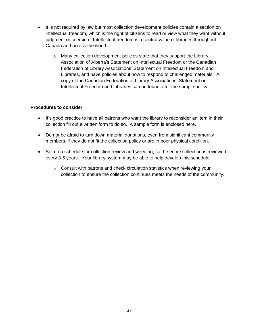- It is not required by law but most collection development policies contain a section on intellectual freedom, which is the right of citizens to read or view what they want without judgment or coercion. Intellectual freedom is a central value of libraries throughout Canada and across the world.
	- o Many collection development policies state that they support the Library Association of Alberta's Statement on Intellectual Freedom or the Canadian Federation of Library Associations' Statement on Intellectual Freedom and Libraries, and have policies about how to respond to challenged materials. A copy of the Canadian Federation of Library Associations' Statement on Intellectual Freedom and Libraries can be found after the sample policy.

#### **Procedures to consider**

- It's good practice to have all patrons who want the library to reconsider an item in their collection fill out a written form to do so. A sample form is enclosed here.
- Do not be afraid to turn down material donations, even from significant community members, if they do not fit the collection policy or are in poor physical condition.
- Set up a schedule for collection review and weeding, so the entire collection is reviewed every 3-5 years. Your library system may be able to help develop this schedule.
	- $\circ$  Consult with patrons and check circulation statistics when reviewing your collection to ensure the collection continues meets the needs of the community.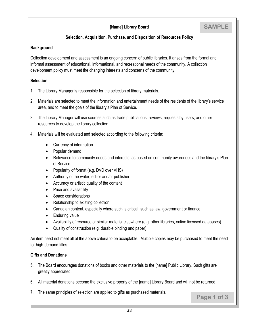#### **[Name] Library Board**

#### **Selection, Acquisition, Purchase, and Disposition of Resources Policy**

#### **Background**

Collection development and assessment is an ongoing concern of public libraries. It arises from the formal and informal assessment of educational, informational, and recreational needs of the community. A collection development policy must meet the changing interests and concerns of the community.

#### **Selection**

- 1. The Library Manager is responsible for the selection of library materials.
- 2. Materials are selected to meet the information and entertainment needs of the residents of the library's service area, and to meet the goals of the library's Plan of Service.
- 3. The Library Manager will use sources such as trade publications, reviews, requests by users, and other resources to develop the library collection.
- 4. Materials will be evaluated and selected according to the following criteria:
	- Currency of information
	- Popular demand
	- Relevance to community needs and interests, as based on community awareness and the library's Plan of Service.
	- Popularity of format (e.g. DVD over VHS)
	- Authority of the writer, editor and/or publisher
	- Accuracy or artistic quality of the content
	- Price and availability
	- Space considerations
	- Relationship to existing collection
	- Canadian content, especially where such is critical, such as law, government or finance
	- Enduring value
	- Availability of resource or similar material elsewhere (e.g. other libraries, online licensed databases)
	- Quality of construction (e.g. durable binding and paper)

An item need not meet all of the above criteria to be acceptable. Multiple copies may be purchased to meet the need for high-demand titles.

#### **Gifts and Donations**

- 5. The Board encourages donations of books and other materials to the [name] Public Library. Such gifts are greatly appreciated.
- 6. All material donations become the exclusive property of the [name] Library Board and will not be returned.
- 7. The same principles of selection are applied to gifts as purchased materials.

**Page 1 of 3**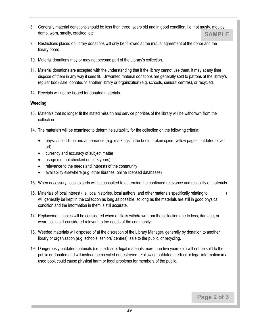- 8. Generally material donations should be less than three years old and in good condition, i.e. not musty, mouldy, damp, worn, smelly, cracked, etc. **SAMPLE**
- 9. Restrictions placed on library donations will only be followed at the mutual agreement of the donor and the library board.
- 10. Material donations may or may not become part of the Library's collection.
- 11. Material donations are accepted with the understanding that if the library cannot use them, it may at any time dispose of them in any way it sees fit. Unwanted material donations are generally sold to patrons at the library's regular book sale, donated to another library or organization (e.g. schools, seniors' centres), or recycled.
- 12. Receipts will not be issued for donated materials.

#### **Weeding**

- 13. Materials that no longer fit the stated mission and service priorities of the library will be withdrawn from the collection.
- 14. The materials will be examined to determine suitability for the collection on the following criteria:
	- physical condition and appearance (e.g. markings in the book, broken spine, yellow pages, outdated cover art)
	- currency and accuracy of subject matter
	- usage (i.e. not checked out in 3 years)
	- relevance to the needs and interests of the community
	- availability elsewhere (e.g. other libraries, online licensed databases)
- 15. When necessary, local experts will be consulted to determine the continued relevance and reliability of materials.
- 16. Materials of local interest (i.e. local histories, local authors, and other materials specifically relating to will generally be kept in the collection as long as possible, so long as the materials are still in good physical condition and the information in them is still accurate.
- 17. Replacement copies will be considered when a title is withdrawn from the collection due to loss, damage, or wear, but is still considered relevant to the needs of the community.
- 18. Weeded materials will disposed of at the discretion of the Library Manager, generally by donation to another library or organization (e.g. schools, seniors' centres), sale to the public, or recycling.
- 19. Dangerously outdated materials (i.e. medical or legal materials more than five years old) will not be sold to the public or donated and will instead be recycled or destroyed. Following outdated medical or legal information in a used book could cause physical harm or legal problems for members of the public.

**Page 2 of 3**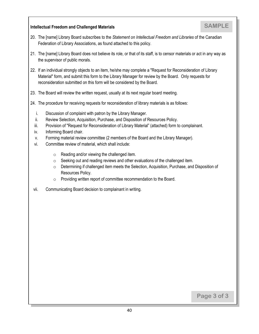#### **Intellectual Freedom and Challenged Materials**

- 20. The [name] Library Board subscribes to the *Statement on Intellectual Freedom and Libraries* of the Canadian Federation of Library Associations, as found attached to this policy.
- 21. The [name] Library Board does not believe its role, or that of its staff, is to censor materials or act in any way as the supervisor of public morals.
- 22. If an individual strongly objects to an item, he/she may complete a "Request for Reconsideration of Library Material" form, and submit this form to the Library Manager for review by the Board. Only requests for reconsideration submitted on this form will be considered by the Board.
- 23. The Board will review the written request, usually at its next regular board meeting.
- 24. The procedure for receiving requests for reconsideration of library materials is as follows:
	- i. Discussion of complaint with patron by the Library Manager.
	- ii. Review Selection, Acquisition, Purchase, and Disposition of Resources Policy.
	- iii. Provision of "Request for Reconsideration of Library Material" (attached) form to complainant.
	- iv. Informing Board chair.
	- v. Forming material review committee (2 members of the Board and the Library Manager).
	- vi. Committee review of material, which shall include:
		- $\circ$  Reading and/or viewing the challenged item.
		- o Seeking out and reading reviews and other evaluations of the challenged item.
		- o Determining if challenged item meets the Selection, Acquisition, Purchase, and Disposition of Resources Policy.
		- o Providing written report of committee recommendation to the Board.
- vii. Communicating Board decision to complainant in writing.

**Page 3 of 3**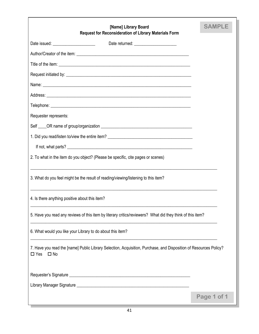| [Name] Library Board<br><b>Request for Reconsideration of Library Materials Form</b>                                                               | <b>SAMPLE</b> |
|----------------------------------------------------------------------------------------------------------------------------------------------------|---------------|
|                                                                                                                                                    |               |
|                                                                                                                                                    |               |
|                                                                                                                                                    |               |
|                                                                                                                                                    |               |
|                                                                                                                                                    |               |
|                                                                                                                                                    |               |
|                                                                                                                                                    |               |
| Requester represents:                                                                                                                              |               |
|                                                                                                                                                    |               |
| 1. Did you read/listen to/view the entire item? _________________________________                                                                  |               |
|                                                                                                                                                    |               |
| 2. To what in the item do you object? (Please be specific, cite pages or scenes)                                                                   |               |
| 3. What do you feel might be the result of reading/viewing/listening to this item?                                                                 |               |
| 4. Is there anything positive about this item?                                                                                                     |               |
| 5. Have you read any reviews of this item by literary critics/reviewers? What did they think of this item?                                         |               |
| 6. What would you like your Library to do about this item?                                                                                         |               |
| 7. Have you read the [name] Public Library Selection, Acquisition, Purchase, and Disposition of Resources Policy?<br>$\square$ Yes<br>$\square$ No |               |
|                                                                                                                                                    |               |
|                                                                                                                                                    |               |
|                                                                                                                                                    | Page 1 of 1   |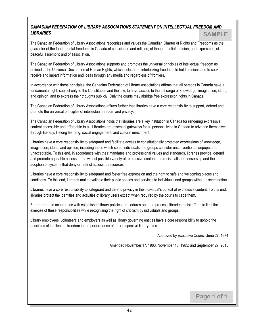#### *CANADIAN FEDERATION OF LIBRARY ASSOCIATIONS STATEMENT ON INTELLECTUAL FREEDOM AND LIBRARIES* **SAMPLE**

The Canadian Federation of Library Associations recognizes and values the Canadian Charter of Rights and Freedoms as the guarantor of the fundamental freedoms in Canada of conscience and religion; of thought, belief, opinion, and expression; of peaceful assembly; and of association.

The Canadian Federation of Library Associations supports and promotes the universal principles of intellectual freedom as defined in the Universal Declaration of Human Rights, which include the interlocking freedoms to hold opinions and to seek, receive and impart information and ideas through any media and regardless of frontiers.

In accordance with these principles, the Canadian Federation of Library Associations affirms that all persons in Canada have a fundamental right, subject only to the Constitution and the law, to have access to the full range of knowledge, imagination, ideas, and opinion, and to express their thoughts publicly. Only the courts may abridge free expression rights in Canada.

The Canadian Federation of Library Associations affirms further that libraries have a core responsibility to support, defend and promote the universal principles of intellectual freedom and privacy.

The Canadian Federation of Library Associations holds that libraries are a key institution in Canada for rendering expressive content accessible and affordable to all. Libraries are essential gateways for all persons living in Canada to advance themselves through literacy, lifelong learning, social engagement, and cultural enrichment.

Libraries have a core responsibility to safeguard and facilitate access to constitutionally protected expressions of knowledge, imagination, ideas, and opinion, including those which some individuals and groups consider unconventional, unpopular or unacceptable. To this end, in accordance with their mandates and professional values and standards, libraries provide, defend and promote equitable access to the widest possible variety of expressive content and resist calls for censorship and the adoption of systems that deny or restrict access to resources.

Libraries have a core responsibility to safeguard and foster free expression and the right to safe and welcoming places and conditions. To this end, libraries make available their public spaces and services to individuals and groups without discrimination.

Libraries have a core responsibility to safeguard and defend privacy in the individual's pursuit of expressive content. To this end, libraries protect the identities and activities of library users except when required by the courts to cede them.

Furthermore, in accordance with established library policies, procedures and due process, libraries resist efforts to limit the exercise of these responsibilities while recognizing the right of criticism by individuals and groups.

Library employees, volunteers and employers as well as library governing entities have a core responsibility to uphold the principles of intellectual freedom in the performance of their respective library roles.

Approved by Executive Council June 27, 1974

Amended November 17, 1983; November 18, 1985; and September 27, 2015

**Page 1 of 1**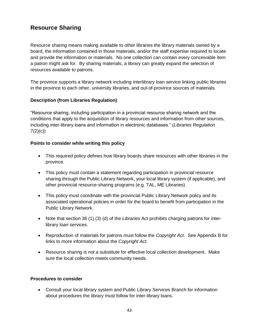## **Resource Sharing**

Resource sharing means making available to other libraries the library materials owned by a board, the information contained in those materials, and/or the staff expertise required to locate and provide the information or materials. No one collection can contain every conceivable item a patron might ask for. By sharing materials, a library can greatly expand the selection of resources available to patrons.

The province supports a library network including interlibrary loan service linking public libraries in the province to each other, university libraries, and out-of-province sources of materials.

#### **Description (from Libraries Regulation)**

"Resource sharing, including participation in a provincial resource sharing network and the conditions that apply to the acquisition of library resources and information from other sources, including inter-library loans and information in electronic databases." (*Libraries Regulation*   $7(2)(c)$ 

#### **Points to consider while writing this policy**

- This required policy defines how library boards share resources with other libraries in the province.
- This policy must contain a statement regarding participation in provincial resource sharing through the Public Library Network, your local library system (if applicable), and other provincial resource-sharing programs (e.g. TAL, ME Libraries)
- This policy must coordinate with the provincial Public Library Network policy and its associated operational policies in order for the board to benefit from participation in the Public Library Network.
- Note that section 36 (1) (3) (d) of the *Libraries* Act prohibits charging patrons for interlibrary loan services.
- Reproduction of materials for patrons must follow the *Copyright Act*. See Appendix B for links to more information about the *Copyright Act*.
- Resource sharing is not a substitute for effective local collection development. Make sure the local collection meets community needs.

#### **Procedures to consider**

 Consult your local library system and Public Library Services Branch for information about procedures the library must follow for inter-library loans.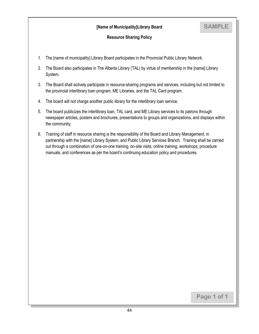#### **[Name of Municipality]Library Board**

**SAMPLE**

#### **Resource Sharing Policy**

- 1. The [name of municipality] Library Board participates in the Provincial Public Library Network.
- 2. The Board also participates in The Alberta Library (TAL) by virtue of membership in the [name] Library System.
- 3. The Board shall actively participate in resource-sharing programs and services, including but not limited to the provincial interlibrary loan program, ME Libraries, and the TAL Card program.
- 4. The board will not charge another public library for the interlibrary loan service.
- 5. The board publicizes the interlibrary loan, TAL card, and ME Library services to its patrons through newspaper articles, posters and brochures, presentations to groups and organizations, and displays within the community.
- 6. Training of staff in resource sharing is the responsibility of the Board and Library Management, in partnership with the [name] Library System, and Public Library Services Branch. Training shall be carried out through a combination of one-on-one training, on-site visits, online training, workshops, procedure manuals, and conferences as per the board's continuing education policy and procedures.

**Page 1 of 1**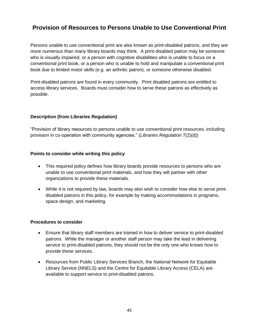## **Provision of Resources to Persons Unable to Use Conventional Print**

Persons unable to use conventional print are also known as print-disabled patrons, and they are more numerous than many library boards may think. A print-disabled patron may be someone who is visually impaired, or a person with cognitive disabilities who is unable to focus on a conventional print book, or a person who is unable to hold and manipulate a conventional print book due to limited motor skills (e.g. an arthritic patron), or someone otherwise disabled.

Print-disabled patrons are found in every community. Print disabled patrons are entitled to access library services. Boards must consider how to serve these patrons as effectively as possible.

#### **Description (from Libraries Regulation)**

"Provision of library resources to persons unable to use conventional print resources, including provision in co-operation with community agencies." (*Libraries Regulation* 7(2)(d))

#### **Points to consider while writing this policy**

- This required policy defines how library boards provide resources to persons who are unable to use conventional print materials, and how they will partner with other organizations to provide these materials.
- While it is not required by law, boards may also wish to consider how else to serve printdisabled patrons in this policy, for example by making accommodations in programs, space design, and marketing.

#### **Procedures to consider**

- Ensure that library staff members are trained in how to deliver service to print-disabled patrons. While the manager or another staff person may take the lead in delivering service to print-disabled patrons, they should not be the only one who knows how to provide these services.
- Resources from Public Library Services Branch, the National Network for Equitable Library Service (NNELS) and the Centre for Equitable Library Access (CELA) are available to support service to print-disabled patrons.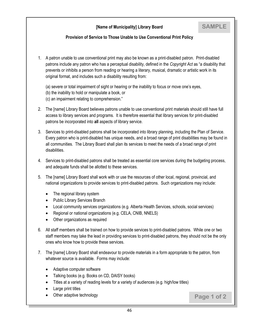#### **Provision of Service to Those Unable to Use Conventional Print Policy**

- 1. A patron unable to use conventional print may also be known as a print-disabled patron. Print-disabled patrons include any patron who has a perceptual disability, defined in the *Copyright Act* as "a disability that prevents or inhibits a person from reading or hearing a literary, musical, dramatic or artistic work in its original format, and includes such a disability resulting from:
	- (a) severe or total impairment of sight or hearing or the inability to focus or move one's eyes,
	- (b) the inability to hold or manipulate a book, or
	- (c) an impairment relating to comprehension."
- 2. The [name] Library Board believes patrons unable to use conventional print materials should still have full access to library services and programs. It is therefore essential that library services for print-disabled patrons be incorporated into **all** aspects of library service.
- 3. Services to print-disabled patrons shall be incorporated into library planning, including the Plan of Service. Every patron who is print-disabled has unique needs, and a broad range of print disabilities may be found in all communities. The Library Board shall plan its services to meet the needs of a broad range of print disabilities.
- 4. Services to print-disabled patrons shall be treated as essential core services during the budgeting process, and adequate funds shall be allotted to these services.
- 5. The [name] Library Board shall work with or use the resources of other local, regional, provincial, and national organizations to provide services to print-disabled patrons. Such organizations may include:
	- The regional library system
	- Public Library Services Branch
	- Local community services organizations (e.g. Alberta Health Services, schools, social services)
	- Regional or national organizations (e.g. CELA, CNIB, NNELS)
	- Other organizations as required
- 6. All staff members shall be trained on how to provide services to print-disabled patrons. While one or two staff members may take the lead in providing services to print-disabled patrons, they should not be the only ones who know how to provide these services.
- 7. The [name] Library Board shall endeavour to provide materials in a form appropriate to the patron, from whatever source is available. Forms may include:
	- Adaptive computer software
	- Talking books (e.g. Books on CD, DAISY books)
	- Titles at a variety of reading levels for a variety of audiences (e.g. high/low titles)
	- Large print titles
	- Other adaptive technology

**Page 1 of 2**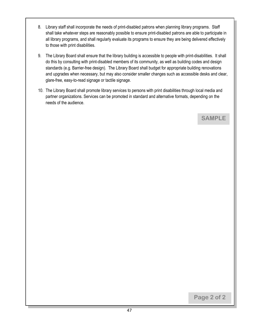- 8. Library staff shall incorporate the needs of print-disabled patrons when planning library programs. Staff shall take whatever steps are reasonably possible to ensure print-disabled patrons are able to participate in all library programs, and shall regularly evaluate its programs to ensure they are being delivered effectively to those with print disabilities.
- 9. The Library Board shall ensure that the library building is accessible to people with print-disabilities. It shall do this by consulting with print-disabled members of its community, as well as building codes and design standards (e.g. Barrier-free design). The Library Board shall budget for appropriate building renovations and upgrades when necessary, but may also consider smaller changes such as accessible desks and clear, glare-free, easy-to-read signage or tactile signage.
- 10. The Library Board shall promote library services to persons with print disabilities through local media and partner organizations. Services can be promoted in standard and alternative formats, depending on the needs of the audience.

**Page 2 of 2**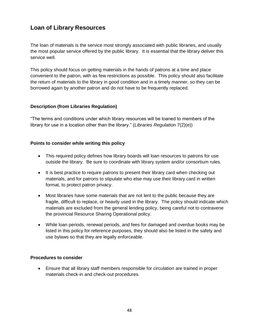## **Loan of Library Resources**

The loan of materials is the service most strongly associated with public libraries, and usually the most popular service offered by the public library. It is essential that the library deliver this service well.

This policy should focus on getting materials in the hands of patrons at a time and place convenient to the patron, with as few restrictions as possible. This policy should also facilitate the return of materials to the library in good condition and in a timely manner, so they can be borrowed again by another patron and do not have to be frequently replaced.

#### **Description (from Libraries Regulation)**

"The terms and conditions under which library resources will be loaned to members of the library for use in a location other than the library." (*Libraries Regulation* 7(2)(e))

#### **Points to consider while writing this policy**

- This required policy defines how library boards will loan resources to patrons for use outside the library. Be sure to coordinate with library system and/or consortium rules.
- It is best practice to require patrons to present their library card when checking out materials, and for patrons to stipulate who else may use their library card in written format, to protect patron privacy.
- Most libraries have some materials that are not lent to the public because they are fragile, difficult to replace, or heavily used in the library. The policy should indicate which materials are excluded from the general lending policy, being careful not to contravene the provincial Resource Sharing Operational policy.
- While loan periods, renewal periods, and fees for damaged and overdue books may be listed in this policy for reference purposes, they should also be listed in the safety and use bylaws so that they are legally enforceable.

#### **Procedures to consider**

 Ensure that all library staff members responsible for circulation are trained in proper materials check-in and check-out procedures.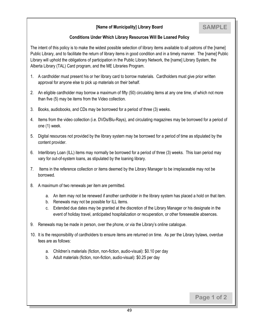#### **[Name of Municipality] Library Board**

#### **Conditions Under Which Library Resources Will Be Loaned Policy**

The intent of this policy is to make the widest possible selection of library items available to all patrons of the [name] Public Library, and to facilitate the return of library items in good condition and in a timely manner. The [name] Public Library will uphold the obligations of participation in the Public Library Network, the [name] Library System, the Alberta Library (TAL) Card program, and the ME Libraries Program.

- 1. A cardholder must present his or her library card to borrow materials. Cardholders must give prior written approval for anyone else to pick up materials on their behalf.
- 2. An eligible cardholder may borrow a maximum of fifty (50) circulating items at any one time, of which not more than five (5) may be items from the Video collection.
- 3. Books, audiobooks, and CDs may be borrowed for a period of three (3) weeks.
- 4. Items from the video collection (i.e. DVDs/Blu-Rays), and circulating magazines may be borrowed for a period of one (1) week.
- 5. Digital resources not provided by the library system may be borrowed for a period of time as stipulated by the content provider.
- 6. Interlibrary Loan (ILL) items may normally be borrowed for a period of three (3) weeks. This loan period may vary for out-of-system loans, as stipulated by the loaning library.
- 7. Items in the reference collection or items deemed by the Library Manager to be irreplaceable may not be borrowed.
- 8. A maximum of two renewals per item are permitted.
	- a. An item may not be renewed if another cardholder in the library system has placed a hold on that item.
	- b. Renewals may not be possible for ILL items.
	- c. Extended due dates may be granted at the discretion of the Library Manager or his designate in the event of holiday travel, anticipated hospitalization or recuperation, or other foreseeable absences.
- 9. Renewals may be made in person, over the phone, or via the Library's online catalogue.
- 10. It is the responsibility of cardholders to ensure items are returned on time. As per the Library bylaws, overdue fees are as follows:
	- a. Children's materials (fiction, non-fiction, audio-visual): \$0.10 per day
	- b. Adult materials (fiction, non-fiction, audio-visual): \$0.25 per day

**Page 1 of 2**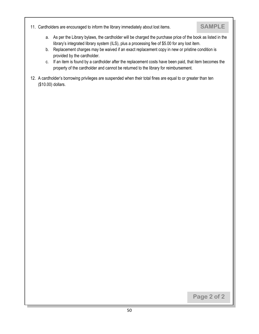11. Cardholders are encouraged to inform the library immediately about lost items.

## **SAMPLE**

- a. As per the Library bylaws, the cardholder will be charged the purchase price of the book as listed in the library's integrated library system (ILS), plus a processing fee of \$5.00 for any lost item.
- b. Replacement charges may be waived if an exact replacement copy in new or pristine condition is provided by the cardholder.
- c. If an item is found by a cardholder after the replacement costs have been paid, that item becomes the property of the cardholder and cannot be returned to the library for reimbursement.
- 12. A cardholder's borrowing privileges are suspended when their total fines are equal to or greater than ten (\$10.00) dollars.

**Page 2 of 2**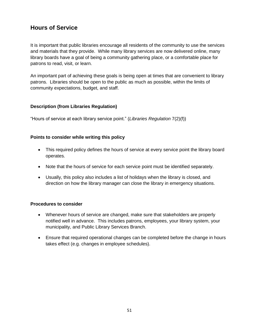## **Hours of Service**

It is important that public libraries encourage all residents of the community to use the services and materials that they provide. While many library services are now delivered online, many library boards have a goal of being a community gathering place, or a comfortable place for patrons to read, visit, or learn.

An important part of achieving these goals is being open at times that are convenient to library patrons. Libraries should be open to the public as much as possible, within the limits of community expectations, budget, and staff.

#### **Description (from Libraries Regulation)**

"Hours of service at each library service point." (*Libraries Regulation* 7(2)(f))

#### **Points to consider while writing this policy**

- This required policy defines the hours of service at every service point the library board operates.
- Note that the hours of service for each service point must be identified separately.
- Usually, this policy also includes a list of holidays when the library is closed, and direction on how the library manager can close the library in emergency situations.

#### **Procedures to consider**

- Whenever hours of service are changed, make sure that stakeholders are properly notified well in advance. This includes patrons, employees, your library system, your municipality, and Public Library Services Branch.
- Ensure that required operational changes can be completed before the change in hours takes effect (e.g. changes in employee schedules).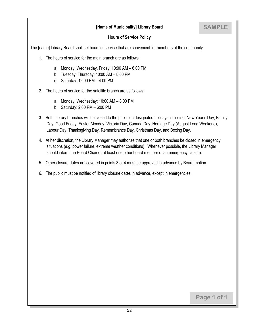#### **[Name of Municipality] Library Board**

## **SAMPLE**

#### **Hours of Service Policy**

The [name] Library Board shall set hours of service that are convenient for members of the community.

- 1. The hours of service for the main branch are as follows:
	- a. Monday, Wednesday, Friday: 10:00 AM 6:00 PM
	- b. Tuesday, Thursday: 10:00 AM 8:00 PM
	- c. Saturday: 12:00 PM 4:00 PM
- 2. The hours of service for the satellite branch are as follows:
	- a. Monday, Wednesday: 10:00 AM 8:00 PM
	- b. Saturday: 2:00 PM 6:00 PM
- 3. Both Library branches will be closed to the public on designated holidays including: New Year's Day, Family Day, Good Friday, Easter Monday, Victoria Day, Canada Day, Heritage Day (August Long Weekend), Labour Day, Thanksgiving Day, Remembrance Day, Christmas Day, and Boxing Day.
- 4. At her discretion, the Library Manager may authorize that one or both branches be closed in emergency situations (e.g. power failure, extreme weather conditions). Whenever possible, the Library Manager should inform the Board Chair or at least one other board member of an emergency closure.
- 5. Other closure dates not covered in points 3 or 4 must be approved in advance by Board motion.
- 6. The public must be notified of library closure dates in advance, except in emergencies.

**Page 1 of 1**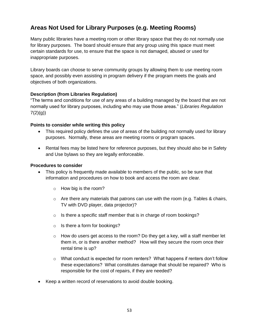## **Areas Not Used for Library Purposes (e.g. Meeting Rooms)**

Many public libraries have a meeting room or other library space that they do not normally use for library purposes. The board should ensure that any group using this space must meet certain standards for use, to ensure that the space is not damaged, abused or used for inappropriate purposes.

Library boards can choose to serve community groups by allowing them to use meeting room space, and possibly even assisting in program delivery if the program meets the goals and objectives of both organizations.

#### **Description (from Libraries Regulation)**

"The terms and conditions for use of any areas of a building managed by the board that are not normally used for library purposes, including who may use those areas." (*Libraries Regulation*   $7(2)(g)$ 

#### **Points to consider while writing this policy**

- This required policy defines the use of areas of the building not normally used for library purposes. Normally, these areas are meeting rooms or program spaces.
- Rental fees may be listed here for reference purposes, but they should also be in Safety and Use bylaws so they are legally enforceable.

#### **Procedures to consider**

- This policy is frequently made available to members of the public, so be sure that information and procedures on how to book and access the room are clear.
	- o How big is the room?
	- $\circ$  Are there any materials that patrons can use with the room (e.g. Tables & chairs, TV with DVD player, data projector)?
	- $\circ$  Is there a specific staff member that is in charge of room bookings?
	- o Is there a form for bookings?
	- $\circ$  How do users get access to the room? Do they get a key, will a staff member let them in, or is there another method? How will they secure the room once their rental time is up?
	- $\circ$  What conduct is expected for room renters? What happens if renters don't follow these expectations? What constitutes damage that should be repaired? Who is responsible for the cost of repairs, if they are needed?
- Keep a written record of reservations to avoid double booking.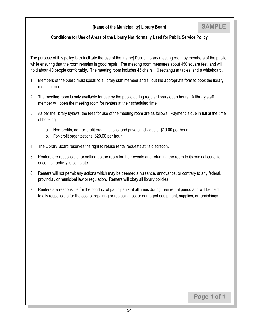#### **[Name of the Municipality] Library Board**

#### **Conditions for Use of Areas of the Library Not Normally Used for Public Service Policy**

The purpose of this policy is to facilitate the use of the [name] Public Library meeting room by members of the public, while ensuring that the room remains in good repair. The meeting room measures about 450 square feet, and will hold about 40 people comfortably. The meeting room includes 45 chairs, 10 rectangular tables, and a whiteboard.

- 1. Members of the public must speak to a library staff member and fill out the appropriate form to book the library meeting room.
- 2. The meeting room is only available for use by the public during regular library open hours. A library staff member will open the meeting room for renters at their scheduled time.
- 3. As per the library bylaws, the fees for use of the meeting room are as follows. Payment is due in full at the time of booking:
	- a. Non-profits, not-for-profit organizations, and private individuals: \$10.00 per hour.
	- b. For-profit organizations: \$20.00 per hour.
- 4. The Library Board reserves the right to refuse rental requests at its discretion.
- 5. Renters are responsible for setting up the room for their events and returning the room to its original condition once their activity is complete.
- 6. Renters will not permit any actions which may be deemed a nuisance, annoyance, or contrary to any federal, provincial, or municipal law or regulation. Renters will obey all library policies.
- 7. Renters are responsible for the conduct of participants at all times during their rental period and will be held totally responsible for the cost of repairing or replacing lost or damaged equipment, supplies, or furnishings.

**Page 1 of 1**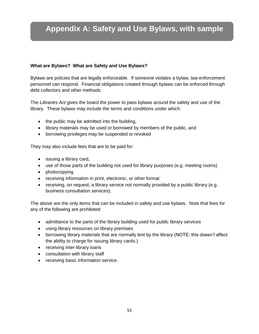# **Appendix A: Safety and Use Bylaws, with sample**

#### **What are Bylaws? What are Safety and Use Bylaws?**

Bylaws are policies that are legally enforceable. If someone violates a bylaw, law enforcement personnel can respond. Financial obligations created through bylaws can be enforced through debt collectors and other methods.

The *Libraries Act* gives the board the power to pass bylaws around the safety and use of the library. These bylaws may include the terms and conditions under which:

- the public may be admitted into the building,
- library materials may be used or borrowed by members of the public, and
- borrowing privileges may be suspended or revoked

They may also include fees that are to be paid for:

- issuing a library card,
- use of those parts of the building not used for library purposes (e.g. meeting rooms)
- photocopying
- receiving information in print, electronic, or other format
- receiving, on request, a library service not normally provided by a public library (e.g. business consultation services).

The above are the only items that can be included in safety and use bylaws. Note that fees for any of the following are prohibited:

- admittance to the parts of the library building used for public library services
- using library resources on library premises
- borrowing library materials that are normally lent by the library (NOTE: this doesn't affect the ability to charge for issuing library cards.)
- receiving inter-library loans
- consultation with library staff
- receiving basic information service.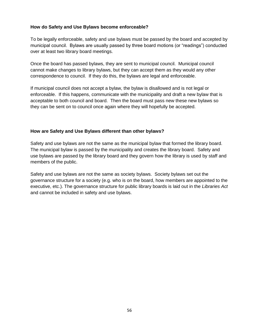#### **How do Safety and Use Bylaws become enforceable?**

To be legally enforceable, safety and use bylaws must be passed by the board and accepted by municipal council. Bylaws are usually passed by three board motions (or "readings") conducted over at least two library board meetings.

Once the board has passed bylaws, they are sent to municipal council. Municipal council cannot make changes to library bylaws, but they can accept them as they would any other correspondence to council. If they do this, the bylaws are legal and enforceable.

If municipal council does not accept a bylaw, the bylaw is disallowed and is not legal or enforceable. If this happens, communicate with the municipality and draft a new bylaw that is acceptable to both council and board. Then the board must pass new these new bylaws so they can be sent on to council once again where they will hopefully be accepted.

#### **How are Safety and Use Bylaws different than other bylaws?**

Safety and use bylaws are not the same as the municipal bylaw that formed the library board. The municipal bylaw is passed by the municipality and creates the library board. Safety and use bylaws are passed by the library board and they govern how the library is used by staff and members of the public.

Safety and use bylaws are not the same as society bylaws. Society bylaws set out the governance structure for a society (e.g. who is on the board, how members are appointed to the executive, etc.). The governance structure for public library boards is laid out in the *Libraries Act* and cannot be included in safety and use bylaws.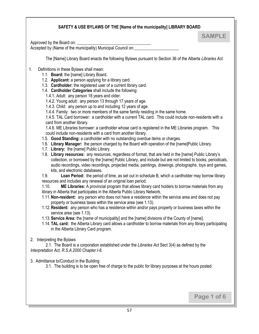#### **SAFETY & USE BYLAWS OF THE [Name of the municipality] LIBRARY BOARD**

Approved by the Board on:

Accepted by (Name of the municipality) Municipal Council on:

The [Name] Library Board enacts the following Bylaws pursuant to Section 36 of the Alberta *Libraries Act.* 

**SAMPLE**

**Page 1 of 6**

- 1. Definitions in these Bylaws shall mean:
	- 1.1. **Board:** the [name] Library Board.
	- 1.2. **Applicant:** a person applying for a library card.
	- 1.3. **Cardholder:** the registered user of a current library card.
	- 1.4. **Cardholder Categories** shall include the following:
		- 1.4.1. Adult: any person 18 years and older.
		- 1.4.2. Young adult: any person 13 through 17 years of age.
		- 1.4.3. Child: any person up to and including 12 years of age.
		- 1.4.4. Family: two or more members of the same family residing in the same home.

1.4.5. TAL Card borrower: a cardholder with a current TAL card. This could include non-residents with a card from another library.

1.4.6. ME Libraries borrower: a cardholder whose card is registered in the ME Libraries program. This could include non-residents with a card from another library.

- 1.5. **Good Standing:** a cardholder with no outstanding overdue items or charges.
- 1.6. **Library Manager:** the person charged by the Board with operation of the [name]Public Library.
- 1.7. **Library:** the [name] Public Library.
- 1.8. **Library resources:** any resources, regardless of format, that are held in the [name] Public Library's collection, or borrowed by the [name] Public Library, and include but are not limited to books, periodicals, audio recordings, video recordings, projected media, paintings, drawings, photographs, toys and games, kits, and electronic databases.

1.9. **Loan Period:** the period of time, as set out in schedule B, which a cardholder may borrow library resources and includes any renewal of an original loan period.

1.10. **ME Libraries:** A provincial program that allows library card holders to borrow materials from any library in Alberta that participates in the Alberta Public Library Network.

- 1.11.**Non-resident:** any person who does not have a residence within the service area and does not pay property or business taxes within the service area (see 1.13).
- 1.12.**Resident:** any person who has a residence within and/or pays property or business taxes within the service area (see 1.13).
- 1.13.**Service Area:** the [name of municipality] and the [name] divisions of the County of [name].
- 1.14. **TAL card:** the Alberta Library card allows a cardholder to borrow materials from any library participating in the Alberta Library Card program.

#### 2. Interpreting the Bylaws

2.1. The Board is a corporation established under the *Libraries Act* Sect 3(4) as defined by the *Interpretation Act, R.S.A.2000 Chapter I-8.*

#### 3. Admittance to/Conduct in the Building

3.1. The building is to be open free of charge to the public for library purposes at the hours posted.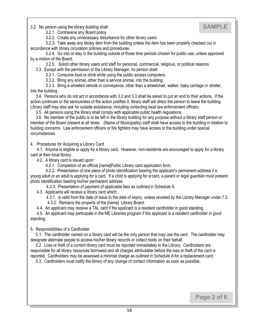3.2. No person using the library building shall:

## **SAMPLE**

3.2.1. Contravene any Board policy

3.2.2. Create any unnecessary disturbance for other library users

 3.2.3. Take away any library item from the building unless the item has been properly checked out in accordance with library circulation policies and procedures.

 3.2.4. Go into or stay in the building outside of those time periods chosen for public use, unless approved by a motion of the Board.

3.2.5. Solicit other library users and staff for personal, commercial, religious, or political reasons.

3.3. Except with the permission of the Library Manager, no person shall:

3.3.1. Consume food or drink while using the public access computers.

3.3.2. Bring any animal, other than a service animal, into the building.

 3.3.3. Bring a wheeled vehicle or conveyance, other than a wheelchair, walker, baby carriage or stroller, into the building.

 3.4. Persons who do not act in accordance with 3.2 and 3.3 shall be asked to put an end to their actions. If the action continues or the seriousness of the action justifies it, library staff will direct the person to leave the building. Library staff may also ask for outside assistance, including contacting local law enforcement officers.

3.5. All persons using the library shall comply with applicable public health regulations.

 3.6. No member of the public is to be left in the library building for any purpose without a library staff person or member of the Board present at all times. (Name of Municipality) staff shall have access to the building in relation to building concerns. Law enforcement officers or fire fighters may have access to the building under special circumstances.

4. Procedures for Acquiring a Library Card

 4.1. Anyone is eligible to apply for a library card. However, non-residents are encouraged to apply for a library card at their local library.

4.2. A library card is issued upon:

4.2.1. Completion of an official [name]Public Library card application form.

 4.2.2. Presentation of one piece of photo identification bearing the applicant's permanent address if a young adult or an adult is applying for a card. If a child is applying for a card, a parent or legal guardian must present photo identification bearing his/her permanent address.

4.2.3. Presentation of payment of applicable fees as outlined in Schedule A.

4.3. Applicants will receive a library card which:

 4.3.1. is valid from the date of issue to the date of expiry, unless revoked by the Library Manager under 7.3. 4.3.2. Remains the property of the [name] Library Board.

4.4. An applicant may receive a TAL card if the applicant is a resident cardholder in good standing.

 4.5. An applicant may participate in the ME Libraries program if the applicant is a resident cardholder in good standing.

5. Responsibilities of a Cardholder

 5.1. The cardholder named on a library card will be the only person that may use the card. The cardholder may designate alternate people to access his/her library records or collect holds on their behalf.

 5.2. Loss or theft of a current library card must be reported immediately to the Library. Cardholders are responsible for all library resources borrowed and all charges attributable before the loss or theft of the card is reported. Cardholders may be assessed a minimal charge as outlined in Schedule A for a replacement card.

5.3. Cardholders must notify the library of any change of contact information as soon as possible.

**Page 2 of 6**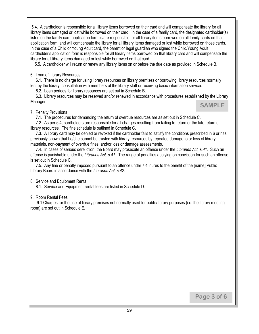5.4. A cardholder is responsible for all library items borrowed on their card and will compensate the library for all library items damaged or lost while borrowed on their card. In the case of a family card, the designated cardholder(s) listed on the family card application form is/are responsible for all library items borrowed on all family cards on that application form, and will compensate the library for all library items damaged or lost while borrowed on those cards. In the case of a Child or Young Adult card, the parent or legal guardian who signed the Child/Young Adult cardholder's application form is responsible for all library items borrowed on that library card and will compensate the library for all library items damaged or lost while borrowed on that card.

5.5. A cardholder will return or renew any library items on or before the due date as provided in Schedule B.

#### 6. Loan of Library Resources

 6.1. There is no charge for using library resources on library premises or borrowing library resources normally lent by the library, consultation with members of the library staff or receiving basic information service.

6.2. Loan periods for library resources are set out in Schedule B.

 6.3. Library resources may be reserved and/or renewed in accordance with procedures established by the Library Manager.

**SAMPLE**

#### 7. Penalty Provisions

7.1. The procedures for demanding the return of overdue resources are as set out in Schedule C.

 7.2. As per 5.4, cardholders are responsible for all charges resulting from failing to return or the late return of library resources. The fine schedule is outlined in Schedule C.

 7.3. A library card may be denied or revoked if the cardholder fails to satisfy the conditions prescribed in 6 or has previously shown that he/she cannot be trusted with library resources by repeated damage to or loss of library materials, non-payment of overdue fines, and/or loss or damage assessments.

 7.4. In cases of serious dereliction, the Board may prosecute an offence under the *Libraries Act, s.41.* Such an offense is punishable under the *Libraries Act, s.41.* The range of penalties applying on conviction for such an offense is set out in Schedule C.

 7.5. Any fine or penalty imposed pursuant to an offence under 7.4 inures to the benefit of the [name] Public Library Board in accordance with the *Libraries Act, s.42.*

#### 8. Service and Equipment Rental

8.1. Service and Equipment rental fees are listed in Schedule D.

#### 9. Room Rental Fees

 9.1 Charges for the use of library premises not normally used for public library purposes (i.e. the library meeting room) are set out in Schedule E.

**Page 3 of 6**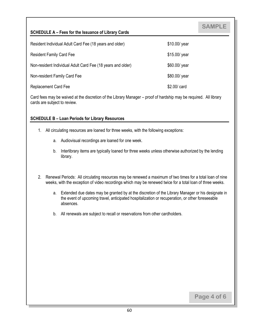#### **SCHEDULE A – Fees for the Issuance of Library Cards**

| Resident Individual Adult Card Fee (18 years and older)     | \$10.00/ year |
|-------------------------------------------------------------|---------------|
| <b>Resident Family Card Fee</b>                             | \$15.00/ year |
| Non-resident Individual Adult Card Fee (18 years and older) | \$60.00/ year |
| Non-resident Family Card Fee                                | \$80.00/ year |
| <b>Replacement Card Fee</b>                                 | \$2.00/ card  |

Card fees may be waived at the discretion of the Library Manager – proof of hardship may be required. All library cards are subject to review.

#### **SCHEDULE B – Loan Periods for Library Resources**

- 1. All circulating resources are loaned for three weeks, with the following exceptions:
	- a. Audiovisual recordings are loaned for one week.
	- b. Interlibrary items are typically loaned for three weeks unless otherwise authorized by the lending library.
- 2. Renewal Periods: All circulating resources may be renewed a maximum of two times for a total loan of nine weeks, with the exception of video recordings which may be renewed twice for a total loan of three weeks.
	- a. Extended due dates may be granted by at the discretion of the Library Manager or his designate in the event of upcoming travel, anticipated hospitalization or recuperation, or other foreseeable absences.
	- b. All renewals are subject to recall or reservations from other cardholders.

**Page 4 of 6**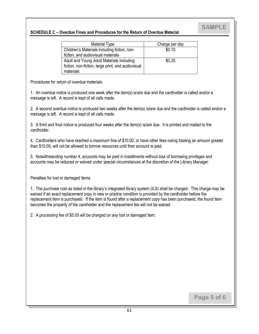#### **SCHEDULE C – Overdue Fines and Procedures for the Return of Overdue Material**

| <b>Material Type</b>                               | Charge per day |
|----------------------------------------------------|----------------|
| Children's Materials including fiction, non-       | \$0.10         |
| fiction, and audiovisual materials                 |                |
| Adult and Young Adult Materials including          | \$0.25         |
| fiction, non-fiction, large print, and audiovisual |                |
| materials                                          |                |

Procedures for return of overdue materials

1. An overdue notice is produced one week after the item(s) is/are due and the cardholder is called and/or a message is left. A record is kept of all calls made.

2. A second overdue notice is produced two weeks after the item(s) is/are due and the cardholder is called and/or a message is left. A record is kept of all calls made.

3. A third and final notice is produced four weeks after the item(s) is/are due. It is printed and mailed to the cardholder.

4. Cardholders who have reached a maximum fine of \$10.00, or have other fees owing totaling an amount greater than \$10.00, will not be allowed to borrow resources until their account is paid.

5. Notwithstanding number 4, accounts may be paid in installments without loss of borrowing privileges and accounts may be reduced or waived under special circumstances at the discretion of the Library Manager.

Penalties for lost or damaged items

1. The purchase cost as listed in the library's integrated library system (ILS) shall be charged. This charge may be waived if an exact replacement copy in new or pristine condition is provided by the cardholder before the replacement item is purchased. If the item is found after a replacement copy has been purchased, the found item becomes the property of the cardholder and the replacement fee will not be waived.

2. A processing fee of \$5.00 will be charged on any lost or damaged item.

**Page 5 of 6**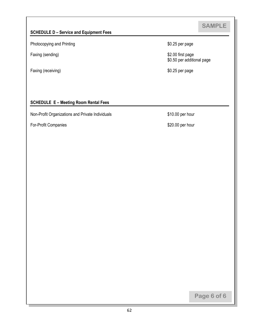#### **SCHEDULE D – Service and Equipment Fees**

Photocopying and Printing **EXECUTE:** \$0.25 per page

Faxing (receiving) **Example 2018 \$0.25** per page

Faxing (sending) **Example 2008** S2.00 first page \$0.50 per additional page

#### **SCHEDULE E – Meeting Room Rental Fees**

Non-Profit Organizations and Private Individuals \$10.00 per hour

For-Profit Companies  $$20.00$  per hour

**Page 6 of 6**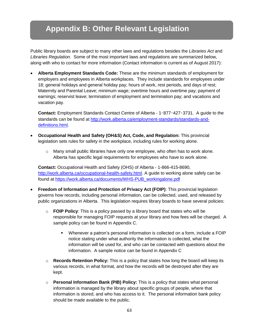# **Appendix B: Other Relevant Legislation**

Public library boards are subject to many other laws and regulations besides the *Libraries Act* and *Libraries Regulation.* Some of the most important laws and regulations are summarized below, along with who to contact for more information (Contact information is current as of August 2017):

 **Alberta Employment Standards Code:** These are the minimum standards of employment for employers and employees in Alberta workplaces. They include standards for employees under 18; general holidays and general holiday pay; hours of work, rest periods, and days of rest; Maternity and Parental Leave; minimum wage; overtime hours and overtime pay; payment of earnings; reservist leave; termination of employment and termination pay; and vacations and vacation pay.

**Contact:** Employment Standards Contact Centre of Alberta - 1‑877‑427‑3731. A guide to the standards can be found at [http://work.alberta.ca/employment-standards/standards-and](http://work.alberta.ca/employment-standards/standards-and-definitions.html)[definitions.html.](http://work.alberta.ca/employment-standards/standards-and-definitions.html)

- **Occupational Health and Safety (OH&S) Act, Code, and Regulation:** This provincial legislation sets rules for safety in the workplace, including rules for working alone.
	- $\circ$  Many small public libraries have only one employee, who often has to work alone. Alberta has specific legal requirements for employees who have to work alone.

**Contact:** Occupational Health and Safety (OHS) of Alberta - 1-866-415-8690, [http://work.alberta.ca/occupational-health-safety.html.](http://work.alberta.ca/occupational-health-safety.html) A guide to working alone safely can be found at [https://work.alberta.ca/documents/WHS-PUB\\_workingalone.pdf](https://work.alberta.ca/documents/WHS-PUB_workingalone.pdf)

- **Freedom of Information and Protection of Privacy Act (FOIP)**: This provincial legislation governs how records, including personal information, can be collected, used, and released by public organizations in Alberta. This legislation requires library boards to have several policies:
	- o **FOIP Policy**: This is a policy passed by a library board that states who will be responsible for managing FOIP requests at your library and how fees will be charged. A sample policy can be found in Appendix C.
		- Whenever a patron's personal information is collected on a form, include a FOIP notice stating under what authority the information is collected, what the information will be used for, and who can be contacted with questions about the information. A sample notice can be found in Appendix C
	- o **Records Retention Policy:** This is a policy that states how long the board will keep its various records, in what format, and how the records will be destroyed after they are kept.
	- o **Personal Information Bank (PIB) Policy:** This is a policy that states what personal information is managed by the library about specific groups of people, where that information is stored, and who has access to it. The personal information bank policy should be made available to the public.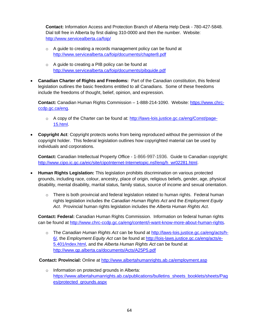**Contact:** Information Access and Protection Branch of Alberta Help Desk - 780-427-5848. Dial toll free in Alberta by first dialing 310-0000 and then the number. Website: <http://www.servicealberta.ca/foip/>

- o A guide to creating a records management policy can be found at <http://www.servicealberta.ca/foip/documents/chapter8.pdf>
- o A guide to creating a PIB policy can be found at <http://www.servicealberta.ca/foip/documents/pibguide.pdf>
- **Canadian Charter of Rights and Freedoms:** Part of the Canadian constitution, this federal legislation outlines the basic freedoms entitled to all Canadians. Some of these freedoms include the freedoms of thought, belief, opinion, and expression.

**Contact:** Canadian Human Rights Commission – 1-888-214-1090. Website: [https://www.chrc](https://www.chrc-ccdp.gc.ca/eng)[ccdp.gc.ca/eng.](https://www.chrc-ccdp.gc.ca/eng)

- o A copy of the Charter can be found at: [http://laws-lois.justice.gc.ca/eng/Const/page-](http://laws-lois.justice.gc.ca/eng/Const/page-15.html)[15.html.](http://laws-lois.justice.gc.ca/eng/Const/page-15.html)
- **Copyright Act**: Copyright protects works from being reproduced without the permission of the copyright holder. This federal legislation outlines how copyrighted material can be used by individuals and corporations.

**Contact:** Canadian Intellectual Property Office - 1-866-997-1936. Guide to Canadian copyright: [http://www.cipo.ic.gc.ca/eic/site/cipoInternet-Internetopic.nsf/eng/h\\_wr02281.html.](http://www.cipo.ic.gc.ca/eic/site/cipoInternet-Internetopic.nsf/eng/h_wr02281.html)

- **Human Rights Legislation:** This legislation prohibits discrimination on various protected grounds, including race, colour, ancestry, place of origin, religious beliefs, gender, age, physical disability, mental disability, marital status, family status, source of income and sexual orientation.
	- $\circ$  There is both provincial and federal legislation related to human rights. Federal human rights legislation includes the *Canadian Human Rights Act* and the *Employment Equity Act*. Provincial human rights legislation includes the *Alberta Human Rights Act*.

**Contact: Federal:** Canadian Human Rights Commission. Information on federal human rights can be found at [http://www.chrc-ccdp.gc.ca/eng/content/i-want-know-more-about-human-rights.](http://www.chrc-ccdp.gc.ca/eng/content/i-want-know-more-about-human-rights)

o The *Canadian Human Rights Act* can be found a[t http://laws-lois.justice.gc.ca/eng/acts/h-](http://laws-lois.justice.gc.ca/eng/acts/h-6/)[6/,](http://laws-lois.justice.gc.ca/eng/acts/h-6/) the *Employment Equity Act* can be found at [http://lois-laws.justice.gc.ca/eng/acts/e-](http://lois-laws.justice.gc.ca/eng/acts/e-5.401/index.html)[5.401/index.html,](http://lois-laws.justice.gc.ca/eng/acts/e-5.401/index.html) and the *Alberta Human Rights Act* can be found at <http://www.qp.alberta.ca/documents/Acts/A25P5.pdf>

 **Contact: Provincial:** Online at<http://www.albertahumanrights.ab.ca/employment.asp>

o Information on protected grounds in Alberta: [https://www.albertahumanrights.ab.ca/publications/bulletins\\_sheets\\_booklets/sheets/Pag](https://www.albertahumanrights.ab.ca/publications/bulletins_sheets_booklets/sheets/Pages/protected_grounds.aspx) [es/protected\\_grounds.aspx](https://www.albertahumanrights.ab.ca/publications/bulletins_sheets_booklets/sheets/Pages/protected_grounds.aspx)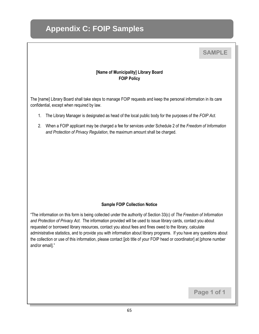# **Appendix C: FOIP Samples**

## **SAMPLE**

#### **[Name of Municipality] Library Board FOIP Policy**

The [name] Library Board shall take steps to manage FOIP requests and keep the personal information in its care confidential, except when required by law.

- 1. The Library Manager is designated as head of the local public body for the purposes of the *FOIP Act*.
- 2. When a FOIP applicant may be charged a fee for services under Schedule 2 of the *Freedom of Information and Protection of Privacy Regulation*, the maximum amount shall be charged.

#### **Sample FOIP Collection Notice**

"The information on this form is being collected under the authority of Section 33(c) of *The Freedom of Information and Protection of Privacy Act*. The information provided will be used to issue library cards, contact you about requested or borrowed library resources, contact you about fees and fines owed to the library, calculate administrative statistics, and to provide you with information about library programs. If you have any questions about the collection or use of this information, please contact [job title of your FOIP head or coordinator] at [phone number and/or email]."

**Page 1 of 1**